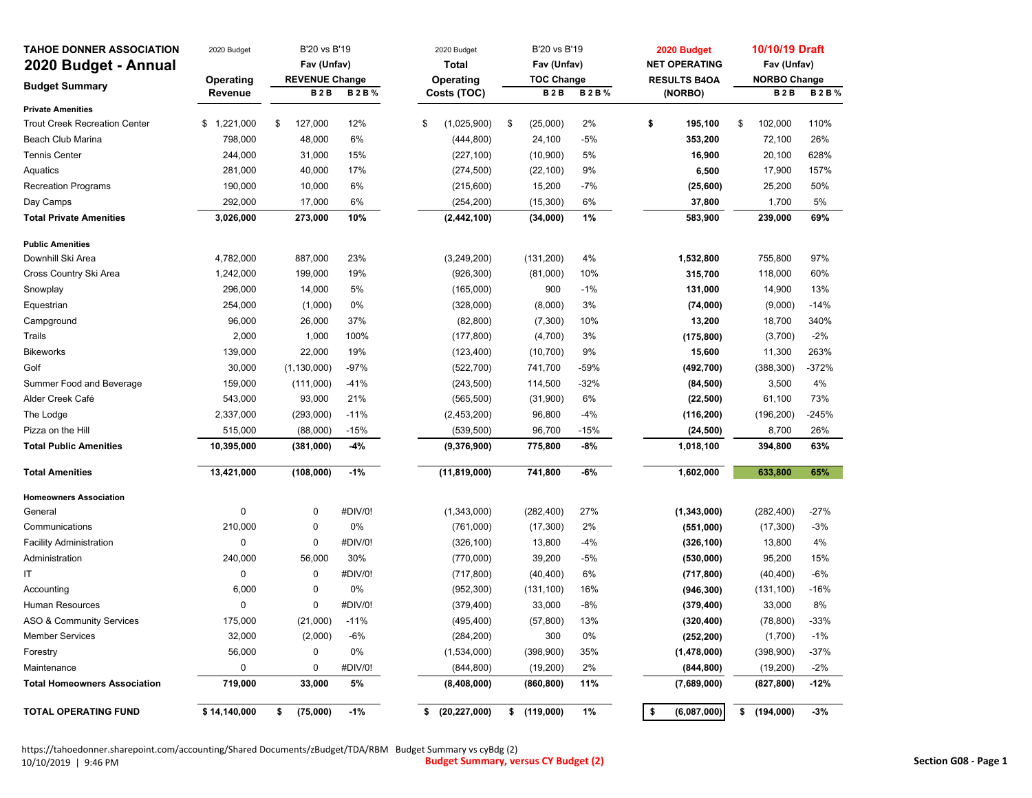| <b>TAHOE DONNER ASSOCIATION</b>      | 2020 Budget  | B'20 vs B'19          |             | 2020 Budget          | B'20 vs B'19      |             | 2020 Budget          | 10/10/19 Draft      |             |
|--------------------------------------|--------------|-----------------------|-------------|----------------------|-------------------|-------------|----------------------|---------------------|-------------|
| 2020 Budget - Annual                 |              | Fav (Unfav)           |             | <b>Total</b>         | Fav (Unfav)       |             | <b>NET OPERATING</b> | Fav (Unfav)         |             |
|                                      | Operating    | <b>REVENUE Change</b> |             | Operating            | <b>TOC Change</b> |             | <b>RESULTS B4OA</b>  | <b>NORBO Change</b> |             |
| <b>Budget Summary</b>                | Revenue      | <b>B2B</b>            | <b>B2B%</b> | Costs (TOC)          | <b>B2B</b>        | <b>B2B%</b> | (NORBO)              | <b>B2B</b>          | <b>B2B%</b> |
| <b>Private Amenities</b>             |              |                       |             |                      |                   |             |                      |                     |             |
| <b>Trout Creek Recreation Center</b> | \$1,221,000  | 127,000<br>\$         | 12%         | \$<br>(1,025,900)    | \$<br>(25,000)    | 2%          | \$<br>195,100        | \$<br>102,000       | 110%        |
| <b>Beach Club Marina</b>             | 798,000      | 48,000                | 6%          | (444, 800)           | 24,100            | $-5%$       | 353,200              | 72,100              | 26%         |
| <b>Tennis Center</b>                 | 244,000      | 31,000                | 15%         | (227, 100)           | (10, 900)         | 5%          | 16,900               | 20,100              | 628%        |
| Aquatics                             | 281,000      | 40,000                | 17%         | (274, 500)           | (22, 100)         | 9%          | 6,500                | 17,900              | 157%        |
| <b>Recreation Programs</b>           | 190,000      | 10,000                | 6%          | (215,600)            | 15,200            | $-7%$       | (25, 600)            | 25,200              | 50%         |
| Day Camps                            | 292,000      | 17,000                | 6%          | (254, 200)           | (15,300)          | 6%          | 37,800               | 1,700               | 5%          |
| <b>Total Private Amenities</b>       | 3,026,000    | 273,000               | 10%         | (2, 442, 100)        | (34,000)          | 1%          | 583,900              | 239,000             | 69%         |
| <b>Public Amenities</b>              |              |                       |             |                      |                   |             |                      |                     |             |
| Downhill Ski Area                    | 4,782,000    | 887,000               | 23%         | (3, 249, 200)        | (131, 200)        | 4%          | 1,532,800            | 755,800             | 97%         |
| Cross Country Ski Area               | 1,242,000    | 199,000               | 19%         | (926, 300)           | (81,000)          | 10%         | 315,700              | 118,000             | 60%         |
| Snowplay                             | 296,000      | 14,000                | 5%          | (165,000)            | 900               | $-1%$       | 131,000              | 14,900              | 13%         |
| Equestrian                           | 254,000      | (1,000)               | 0%          | (328,000)            | (8,000)           | 3%          | (74,000)             | (9,000)             | $-14%$      |
| Campground                           | 96,000       | 26,000                | 37%         | (82, 800)            | (7, 300)          | 10%         | 13,200               | 18,700              | 340%        |
| Trails                               | 2,000        | 1,000                 | 100%        | (177, 800)           | (4,700)           | 3%          | (175, 800)           | (3,700)             | $-2%$       |
| <b>Bikeworks</b>                     | 139,000      | 22,000                | 19%         | (123, 400)           | (10, 700)         | 9%          | 15,600               | 11,300              | 263%        |
| Golf                                 | 30,000       | (1, 130, 000)         | $-97%$      | (522, 700)           | 741,700           | $-59%$      | (492, 700)           | (388, 300)          | $-372%$     |
| Summer Food and Beverage             | 159,000      | (111,000)             | $-41%$      | (243, 500)           | 114,500           | $-32%$      | (84, 500)            | 3,500               | 4%          |
| Alder Creek Café                     | 543,000      | 93,000                | 21%         | (565, 500)           | (31,900)          | 6%          | (22, 500)            | 61,100              | 73%         |
| The Lodge                            | 2,337,000    | (293,000)             | $-11%$      | (2, 453, 200)        | 96,800            | $-4%$       | (116, 200)           | (196, 200)          | $-245%$     |
| Pizza on the Hill                    | 515,000      | (88,000)              | $-15%$      | (539, 500)           | 96,700            | $-15%$      | (24, 500)            | 8,700               | 26%         |
| <b>Total Public Amenities</b>        | 10,395,000   | (381,000)             | $-4%$       | (9,376,900)          | 775,800           | -8%         | 1,018,100            | 394,800             | 63%         |
| <b>Total Amenities</b>               | 13,421,000   | (108,000)             | $-1%$       | (11, 819, 000)       | 741,800           | -6%         | 1,602,000            | 633,800             | 65%         |
| <b>Homeowners Association</b>        |              |                       |             |                      |                   |             |                      |                     |             |
| General                              | 0            | 0                     | #DIV/0!     | (1,343,000)          | (282, 400)        | 27%         | (1, 343, 000)        | (282, 400)          | $-27%$      |
| Communications                       | 210,000      | 0                     | 0%          | (761,000)            | (17, 300)         | 2%          | (551,000)            | (17, 300)           | $-3%$       |
| <b>Facility Administration</b>       | 0            | 0                     | #DIV/0!     | (326, 100)           | 13,800            | $-4%$       | (326, 100)           | 13,800              | 4%          |
| Administration                       | 240,000      | 56,000                | 30%         | (770,000)            | 39,200            | $-5%$       | (530,000)            | 95,200              | 15%         |
| IT                                   | 0            | 0                     | #DIV/0!     | (717, 800)           | (40, 400)         | 6%          | (717, 800)           | (40, 400)           | $-6%$       |
| Accounting                           | 6,000        | 0                     | 0%          | (952, 300)           | (131, 100)        | 16%         | (946, 300)           | (131, 100)          | $-16%$      |
| Human Resources                      | 0            | 0                     | #DIV/0!     | (379, 400)           | 33,000            | -8%         | (379, 400)           | 33,000              | 8%          |
| <b>ASO &amp; Community Services</b>  | 175,000      | (21,000)              | $-11%$      | (495, 400)           | (57, 800)         | 13%         | (320, 400)           | (78, 800)           | $-33%$      |
| <b>Member Services</b>               | 32,000       | (2,000)               | $-6%$       | (284, 200)           | 300               | 0%          | (252, 200)           | (1,700)             | $-1%$       |
| Forestry                             | 56,000       | 0                     | 0%          | (1,534,000)          | (398,900)         | 35%         | (1,478,000)          | (398,900)           | $-37%$      |
| Maintenance                          | 0            | 0                     | #DIV/0!     | (844, 800)           | (19, 200)         | 2%          | (844, 800)           | (19, 200)           | $-2%$       |
| <b>Total Homeowners Association</b>  | 719,000      | 33,000                | 5%          | (8,408,000)          | (860, 800)        | 11%         | (7,689,000)          | (827, 800)          | $-12%$      |
| <b>TOTAL OPERATING FUND</b>          | \$14,140,000 | (75,000)<br>\$        | $-1%$       | \$<br>(20, 227, 000) | \$<br>(119,000)   | 1%          | \$<br>(6,087,000)    | \$<br>(194,000)     | $-3%$       |

https://tahoedonner.sharepoint.com/accounting/Shared Documents/zBudget/TDA/RBM Budget Summary vs cyBdg (2)<br>10/10/2019 | 9:46 PM **Budget Summary, ve** 10/10/2019 | 9:46 PM **Budget Summary, versus CY Budget (2) Section G08 ‐ Page <sup>1</sup>**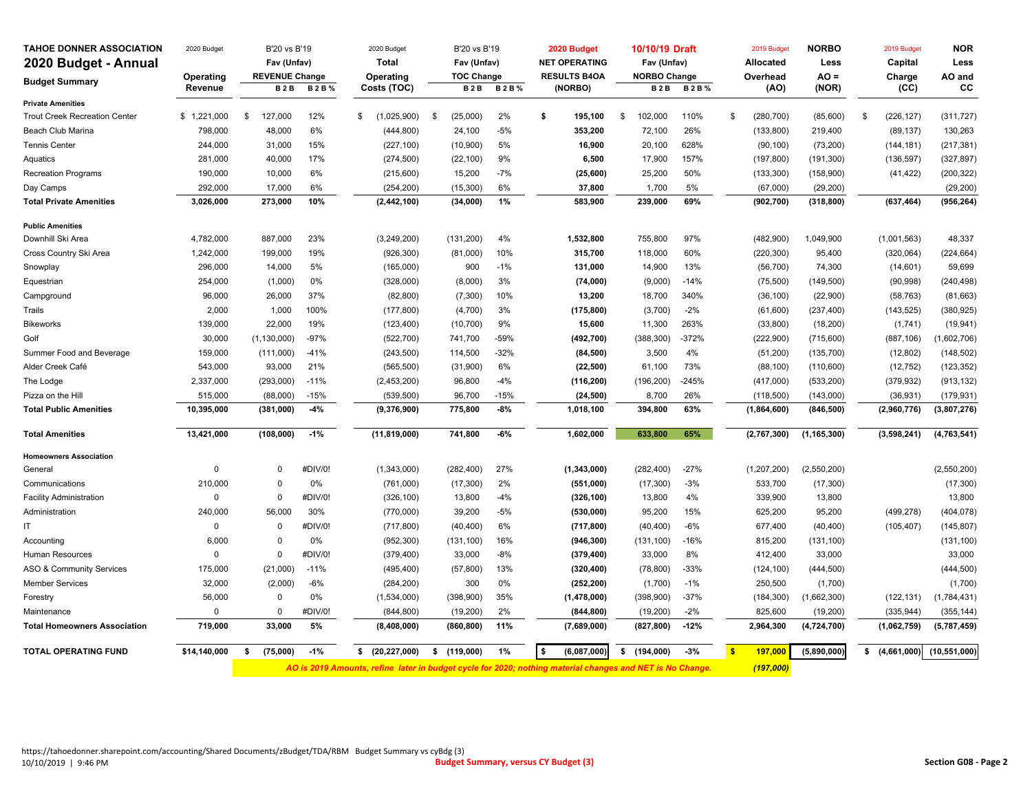| <b>TAHOE DONNER ASSOCIATION</b>      | 2020 Budget    | B'20 vs B'19          |             | 2020 Budget                                                                                               | B'20 vs B'19      |             |    | 2020 Budget          | 10/10/19 Draft      |             |              | 2019 Budget   | <b>NORBO</b>  | 2019 Budget       | <b>NOR</b>     |
|--------------------------------------|----------------|-----------------------|-------------|-----------------------------------------------------------------------------------------------------------|-------------------|-------------|----|----------------------|---------------------|-------------|--------------|---------------|---------------|-------------------|----------------|
| 2020 Budget - Annual                 |                | Fav (Unfav)           |             | <b>Total</b>                                                                                              | Fav (Unfav)       |             |    | <b>NET OPERATING</b> | Fav (Unfav)         |             |              | Allocated     | Less          | Capital           | Less           |
|                                      | Operating      | <b>REVENUE Change</b> |             | Operating                                                                                                 | <b>TOC Change</b> |             |    | <b>RESULTS B4OA</b>  | <b>NORBO Change</b> |             |              | Overhead      | $AO =$        | Charge            | AO and         |
| <b>Budget Summary</b>                | Revenue        | <b>B2B</b>            | <b>B2B%</b> | Costs (TOC)                                                                                               | <b>B2B</b>        | <b>B2B%</b> |    | (NORBO)              | <b>B2B</b>          | <b>B2B%</b> |              | (AO)          | (NOR)         | (CC)              | CС             |
| <b>Private Amenities</b>             |                |                       |             |                                                                                                           |                   |             |    |                      |                     |             |              |               |               |                   |                |
| <b>Trout Creek Recreation Center</b> | \$1,221,000    | 127,000<br>\$         | 12%         | (1,025,900)<br>\$                                                                                         | \$<br>(25,000)    | 2%          | \$ | 195,100              | \$<br>102,000       | 110%        | \$           | (280, 700)    | (85,600)      | \$<br>(226, 127)  | (311, 727)     |
| Beach Club Marina                    | 798,000        | 48,000                | 6%          | (444, 800)                                                                                                | 24,100            | $-5%$       |    | 353,200              | 72,100              | 26%         |              | (133, 800)    | 219,400       | (89, 137)         | 130,263        |
| <b>Tennis Center</b>                 | 244,000        | 31,000                | 15%         | (227, 100)                                                                                                | (10,900)          | 5%          |    | 16,900               | 20,100              | 628%        |              | (90, 100)     | (73, 200)     | (144, 181)        | (217, 381)     |
| Aquatics                             | 281,000        | 40,000                | 17%         | (274, 500)                                                                                                | (22, 100)         | 9%          |    | 6,500                | 17,900              | 157%        |              | (197, 800)    | (191, 300)    | (136, 597)        | (327, 897)     |
| <b>Recreation Programs</b>           | 190,000        | 10,000                | 6%          | (215,600)                                                                                                 | 15,200            | $-7%$       |    | (25, 600)            | 25,200              | 50%         |              | (133, 300)    | (158,900)     | (41, 422)         | (200, 322)     |
| Day Camps                            | 292,000        | 17,000                | 6%          | (254, 200)                                                                                                | (15, 300)         | 6%          |    | 37,800               | 1,700               | 5%          |              | (67,000)      | (29, 200)     |                   | (29, 200)      |
| <b>Total Private Amenities</b>       | 3,026,000      | 273,000               | 10%         | (2, 442, 100)                                                                                             | (34,000)          | 1%          |    | 583,900              | 239,000             | 69%         |              | (902, 700)    | (318, 800)    | (637, 464)        | (956, 264)     |
| <b>Public Amenities</b>              |                |                       |             |                                                                                                           |                   |             |    |                      |                     |             |              |               |               |                   |                |
| Downhill Ski Area                    | 4,782,000      | 887,000               | 23%         | (3,249,200)                                                                                               | (131, 200)        | 4%          |    | 1,532,800            | 755,800             | 97%         |              | (482,900)     | 1,049,900     | (1,001,563)       | 48,337         |
| Cross Country Ski Area               | 1,242,000      | 199,000               | 19%         | (926, 300)                                                                                                | (81,000)          | 10%         |    | 315,700              | 118,000             | 60%         |              | (220, 300)    | 95,400        | (320,064)         | (224, 664)     |
| Snowplay                             | 296,000        | 14,000                | 5%          | (165,000)                                                                                                 | 900               | $-1%$       |    | 131,000              | 14,900              | 13%         |              | (56, 700)     | 74,300        | (14, 601)         | 59,699         |
| Equestrian                           | 254,000        | (1,000)               | 0%          | (328,000)                                                                                                 | (8,000)           | 3%          |    | (74,000)             | (9,000)             | $-14%$      |              | (75, 500)     | (149, 500)    | (90, 998)         | (240, 498)     |
| Campground                           | 96,000         | 26,000                | 37%         | (82, 800)                                                                                                 | (7,300)           | 10%         |    | 13,200               | 18,700              | 340%        |              | (36, 100)     | (22,900)      | (58, 763)         | (81, 663)      |
| Trails                               | 2,000          | 1,000                 | 100%        | (177, 800)                                                                                                | (4,700)           | 3%          |    | (175, 800)           | (3,700)             | $-2%$       |              | (61,600)      | (237, 400)    | (143, 525)        | (380, 925)     |
| <b>Bikeworks</b>                     | 139,000        | 22,000                | 19%         | (123, 400)                                                                                                | (10, 700)         | 9%          |    | 15,600               | 11,300              | 263%        |              | (33, 800)     | (18, 200)     | (1,741)           | (19, 941)      |
| Golf                                 | 30,000         | (1, 130, 000)         | $-97%$      | (522, 700)                                                                                                | 741,700           | $-59%$      |    | (492, 700)           | (388, 300)          | $-372%$     |              | (222, 900)    | (715,600)     | (887, 106)        | 1,602,706)     |
| Summer Food and Beverage             | 159,000        | (111,000)             | $-41%$      | (243, 500)                                                                                                | 114,500           | $-32%$      |    | (84, 500)            | 3,500               | 4%          |              | (51, 200)     | (135, 700)    | (12, 802)         | (148, 502)     |
| Alder Creek Café                     | 543,000        | 93,000                | 21%         | (565, 500)                                                                                                | (31,900)          | 6%          |    | (22, 500)            | 61,100              | 73%         |              | (88, 100)     | (110, 600)    | (12, 752)         | (123, 352)     |
| The Lodge                            | 2,337,000      | (293,000)             | $-11%$      | (2,453,200)                                                                                               | 96,800            | $-4%$       |    | (116, 200)           | (196, 200)          | $-245%$     |              | (417,000)     | (533, 200)    | (379, 932)        | (913, 132)     |
| Pizza on the Hill                    | 515,000        | (88,000)              | $-15%$      | (539, 500)                                                                                                | 96,700            | $-15%$      |    | (24, 500)            | 8,700               | 26%         |              | (118,500)     | (143,000)     | (36, 931)         | (179, 931)     |
| <b>Total Public Amenities</b>        | 10,395,000     | (381,000)             | $-4%$       | (9,376,900)                                                                                               | 775,800           | $-8%$       |    | 1,018,100            | 394,800             | 63%         |              | (1,864,600)   | (846, 500)    | (2,960,776)       | (3,807,276)    |
| <b>Total Amenities</b>               | 13,421,000     | (108,000)             | $-1%$       | (11, 819, 000)                                                                                            | 741,800           | $-6%$       |    | 1,602,000            | 633,800             | 65%         |              | (2,767,300)   | (1, 165, 300) | (3,598,241)       | (4, 763, 541)  |
| <b>Homeowners Association</b>        |                |                       |             |                                                                                                           |                   |             |    |                      |                     |             |              |               |               |                   |                |
| General                              | $\overline{0}$ | $\mathbf 0$           | #DIV/0!     | (1,343,000)                                                                                               | (282, 400)        | 27%         |    | (1,343,000)          | (282, 400)          | $-27%$      |              | (1, 207, 200) | (2,550,200)   |                   | (2,550,200)    |
| Communications                       | 210,000        | $\Omega$              | 0%          | (761,000)                                                                                                 | (17, 300)         | 2%          |    | (551,000)            | (17, 300)           | $-3%$       |              | 533,700       | (17, 300)     |                   | (17, 300)      |
| <b>Facility Administration</b>       | $\mathsf 0$    | $\mathbf 0$           | #DIV/0!     | (326, 100)                                                                                                | 13,800            | $-4%$       |    | (326, 100)           | 13,800              | 4%          |              | 339,900       | 13,800        |                   | 13,800         |
| Administration                       | 240,000        | 56,000                | 30%         | (770,000)                                                                                                 | 39,200            | $-5%$       |    | (530,000)            | 95,200              | 15%         |              | 625,200       | 95,200        | (499, 278)        | (404, 078)     |
| IT.                                  | $\mathbf 0$    | $\Omega$              | #DIV/0!     | (717, 800)                                                                                                | (40, 400)         | 6%          |    | (717, 800)           | (40, 400)           | $-6%$       |              | 677,400       | (40, 400)     | (105, 407)        | (145, 807)     |
| Accounting                           | 6,000          | $\mathbf 0$           | 0%          | (952, 300)                                                                                                | (131, 100)        | 16%         |    | (946, 300)           | (131, 100)          | $-16%$      |              | 815,200       | (131, 100)    |                   | (131, 100)     |
| Human Resources                      | $\mathbf 0$    | $\mathbf 0$           | #DIV/0!     | (379, 400)                                                                                                | 33,000            | $-8%$       |    | (379, 400)           | 33,000              | 8%          |              | 412,400       | 33,000        |                   | 33,000         |
| ASO & Community Services             | 175,000        | (21,000)              | $-11%$      | (495, 400)                                                                                                | (57, 800)         | 13%         |    | (320, 400)           | (78, 800)           | $-33%$      |              | (124, 100)    | (444, 500)    |                   | (444, 500)     |
| <b>Member Services</b>               | 32,000         | (2,000)               | $-6%$       | (284, 200)                                                                                                | 300               | $0\%$       |    | (252, 200)           | (1,700)             | $-1%$       |              | 250,500       | (1,700)       |                   | (1,700)        |
| Forestry                             | 56,000         | $\mathbf 0$           | 0%          | (1,534,000)                                                                                               | (398,900)         | 35%         |    | (1,478,000)          | (398,900)           | $-37%$      |              | (184, 300)    | (1,662,300)   | (122, 131)        | (1,784,431)    |
| Maintenance                          | 0              | $\mathbf 0$           | #DIV/0!     | (844, 800)                                                                                                | (19, 200)         | 2%          |    | (844, 800)           | (19, 200)           | $-2%$       |              | 825,600       | (19,200)      | (335, 944)        | (355, 144)     |
| <b>Total Homeowners Association</b>  | 719,000        | 33.000                | 5%          | (8,408,000)                                                                                               | (860, 800)        | 11%         |    | (7,689,000)          | (827, 800)          | $-12%$      |              | 2,964,300     | (4,724,700)   | (1,062,759)       | (5,787,459)    |
| <b>TOTAL OPERATING FUND</b>          | \$14.140.000   | (75,000)<br>\$.       | $-1%$       | (20, 227, 000)<br>s.                                                                                      | \$<br>(119.000)   | 1%          | 5  | (6,087,000)          | \$(194.000)         | $-3%$       | $\mathbf{s}$ | 197,000       | (5,890,000)   | \$<br>(4.661.000) | (10, 551, 000) |
|                                      |                |                       |             | AO is 2019 Amounts, refine later in budget cycle for 2020; nothing material changes and NET is No Change. |                   |             |    |                      |                     |             |              | (197,000)     |               |                   |                |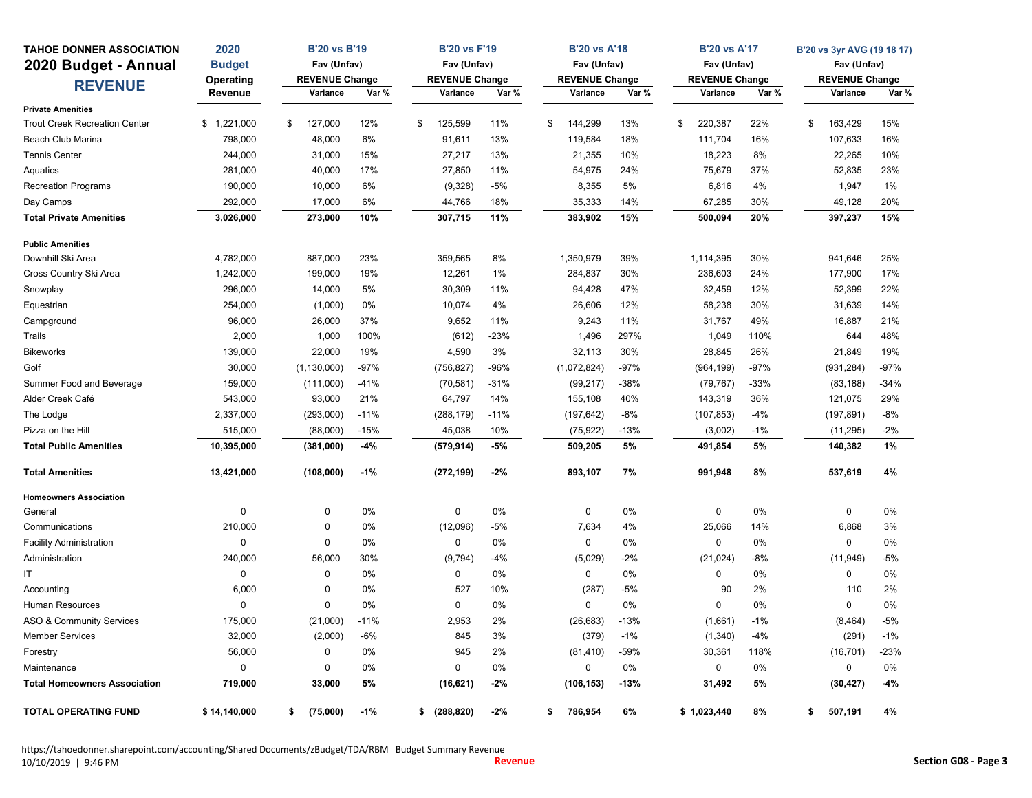| <b>TAHOE DONNER ASSOCIATION</b>      | 2020          | <b>B'20 vs B'19</b>   |        | <b>B'20 vs F'19</b>   |        | <b>B'20 vs A'18</b>   |        | <b>B'20 vs A'17</b>   |       | B'20 vs 3yr AVG (19 18 17) |        |
|--------------------------------------|---------------|-----------------------|--------|-----------------------|--------|-----------------------|--------|-----------------------|-------|----------------------------|--------|
| 2020 Budget - Annual                 | <b>Budget</b> | Fav (Unfav)           |        | Fav (Unfav)           |        | Fav (Unfav)           |        | Fav (Unfav)           |       | Fav (Unfav)                |        |
|                                      | Operating     | <b>REVENUE Change</b> |        | <b>REVENUE Change</b> |        | <b>REVENUE Change</b> |        | <b>REVENUE Change</b> |       | <b>REVENUE Change</b>      |        |
| <b>REVENUE</b>                       | Revenue       | Variance              | Var %  | Variance              | Var %  | Variance              | Var %  | Variance              | Var % | Variance                   | Var %  |
| <b>Private Amenities</b>             |               |                       |        |                       |        |                       |        |                       |       |                            |        |
| <b>Trout Creek Recreation Center</b> | \$1,221,000   | \$<br>127,000         | 12%    | \$<br>125,599         | 11%    | 144,299<br>\$         | 13%    | \$<br>220,387         | 22%   | \$<br>163,429              | 15%    |
| Beach Club Marina                    | 798,000       | 48,000                | 6%     | 91,611                | 13%    | 119,584               | 18%    | 111,704               | 16%   | 107,633                    | 16%    |
| <b>Tennis Center</b>                 | 244,000       | 31,000                | 15%    | 27,217                | 13%    | 21,355                | 10%    | 18,223                | 8%    | 22,265                     | 10%    |
| Aquatics                             | 281,000       | 40,000                | 17%    | 27,850                | 11%    | 54,975                | 24%    | 75,679                | 37%   | 52,835                     | 23%    |
| <b>Recreation Programs</b>           | 190,000       | 10,000                | 6%     | (9,328)               | $-5%$  | 8,355                 | 5%     | 6,816                 | 4%    | 1,947                      | 1%     |
| Day Camps                            | 292,000       | 17,000                | 6%     | 44,766                | 18%    | 35,333                | 14%    | 67,285                | 30%   | 49,128                     | 20%    |
| <b>Total Private Amenities</b>       | 3,026,000     | 273,000               | 10%    | 307,715               | 11%    | 383,902               | 15%    | 500,094               | 20%   | 397,237                    | 15%    |
| <b>Public Amenities</b>              |               |                       |        |                       |        |                       |        |                       |       |                            |        |
| Downhill Ski Area                    | 4,782,000     | 887,000               | 23%    | 359,565               | 8%     | 1,350,979             | 39%    | 1,114,395             | 30%   | 941,646                    | 25%    |
| Cross Country Ski Area               | 1,242,000     | 199,000               | 19%    | 12,261                | 1%     | 284,837               | 30%    | 236,603               | 24%   | 177,900                    | 17%    |
| Snowplay                             | 296,000       | 14,000                | 5%     | 30,309                | 11%    | 94,428                | 47%    | 32,459                | 12%   | 52,399                     | 22%    |
| Equestrian                           | 254,000       | (1,000)               | 0%     | 10,074                | 4%     | 26,606                | 12%    | 58,238                | 30%   | 31,639                     | 14%    |
| Campground                           | 96,000        | 26,000                | 37%    | 9,652                 | 11%    | 9,243                 | 11%    | 31,767                | 49%   | 16,887                     | 21%    |
| Trails                               | 2,000         | 1,000                 | 100%   | (612)                 | $-23%$ | 1,496                 | 297%   | 1,049                 | 110%  | 644                        | 48%    |
| <b>Bikeworks</b>                     | 139,000       | 22,000                | 19%    | 4,590                 | 3%     | 32,113                | 30%    | 28,845                | 26%   | 21,849                     | 19%    |
| Golf                                 | 30,000        | (1, 130, 000)         | $-97%$ | (756, 827)            | $-96%$ | (1,072,824)           | $-97%$ | (964, 199)            | -97%  | (931, 284)                 | $-97%$ |
| Summer Food and Beverage             | 159,000       | (111,000)             | $-41%$ | (70, 581)             | $-31%$ | (99, 217)             | $-38%$ | (79, 767)             | -33%  | (83, 188)                  | $-34%$ |
| Alder Creek Café                     | 543,000       | 93,000                | 21%    | 64,797                | 14%    | 155,108               | 40%    | 143,319               | 36%   | 121,075                    | 29%    |
| The Lodge                            | 2,337,000     | (293,000)             | $-11%$ | (288, 179)            | $-11%$ | (197, 642)            | $-8%$  | (107, 853)            | $-4%$ | (197, 891)                 | $-8%$  |
| Pizza on the Hill                    | 515,000       | (88,000)              | $-15%$ | 45,038                | 10%    | (75, 922)             | $-13%$ | (3,002)               | $-1%$ | (11, 295)                  | $-2%$  |
| <b>Total Public Amenities</b>        | 10,395,000    | (381,000)             | $-4%$  | (579, 914)            | $-5%$  | 509,205               | 5%     | 491,854               | 5%    | 140,382                    | 1%     |
| <b>Total Amenities</b>               | 13,421,000    | (108,000)             | $-1%$  | (272, 199)            | $-2%$  | 893,107               | 7%     | 991,948               | 8%    | 537,619                    | 4%     |
| <b>Homeowners Association</b>        |               |                       |        |                       |        |                       |        |                       |       |                            |        |
| General                              | 0             | 0                     | 0%     | 0                     | 0%     | $\mathbf 0$           | 0%     | $\pmb{0}$             | 0%    | 0                          | 0%     |
| Communications                       | 210,000       | 0                     | 0%     | (12,096)              | $-5%$  | 7,634                 | 4%     | 25,066                | 14%   | 6,868                      | 3%     |
| <b>Facility Administration</b>       | 0             | 0                     | 0%     | 0                     | 0%     | 0                     | 0%     | $\pmb{0}$             | 0%    | 0                          | 0%     |
| Administration                       | 240,000       | 56,000                | 30%    | (9,794)               | $-4%$  | (5,029)               | $-2%$  | (21, 024)             | $-8%$ | (11, 949)                  | $-5%$  |
| ΙT                                   | 0             | 0                     | 0%     | 0                     | 0%     | 0                     | 0%     | $\pmb{0}$             | 0%    | 0                          | 0%     |
| Accounting                           | 6,000         | $\mathbf 0$           | 0%     | 527                   | 10%    | (287)                 | $-5%$  | 90                    | 2%    | 110                        | 2%     |
| Human Resources                      | 0             | 0                     | 0%     | $\mathbf 0$           | 0%     | 0                     | 0%     | $\mathbf 0$           | 0%    | 0                          | 0%     |
| ASO & Community Services             | 175,000       | (21,000)              | $-11%$ | 2,953                 | 2%     | (26, 683)             | $-13%$ | (1,661)               | $-1%$ | (8, 464)                   | $-5%$  |
| <b>Member Services</b>               | 32,000        | (2,000)               | $-6%$  | 845                   | 3%     | (379)                 | $-1%$  | (1, 340)              | $-4%$ | (291)                      | $-1%$  |
| Forestry                             | 56,000        | 0                     | 0%     | 945                   | 2%     | (81, 410)             | $-59%$ | 30,361                | 118%  | (16, 701)                  | $-23%$ |
| Maintenance                          | 0             | 0                     | 0%     | $\mathbf 0$           | 0%     | 0                     | 0%     | 0                     | 0%    | 0                          | 0%     |
| <b>Total Homeowners Association</b>  | 719,000       | 33,000                | 5%     | (16, 621)             | $-2%$  | (106, 153)            | $-13%$ | 31,492                | 5%    | (30, 427)                  | $-4%$  |
| <b>TOTAL OPERATING FUND</b>          | \$14,140,000  | (75,000)<br>\$        | $-1%$  | (288, 820)<br>\$      | $-2%$  | \$<br>786,954         | 6%     | \$1,023,440           | 8%    | \$<br>507,191              | 4%     |

https://tahoedonner.sharepoint.com/accounting/Shared Documents/zBudget/TDA/RBM Budget Summary Revenue 10/10/2019 | 9:46 PM **Revenue Section G08 ‐ Page 3**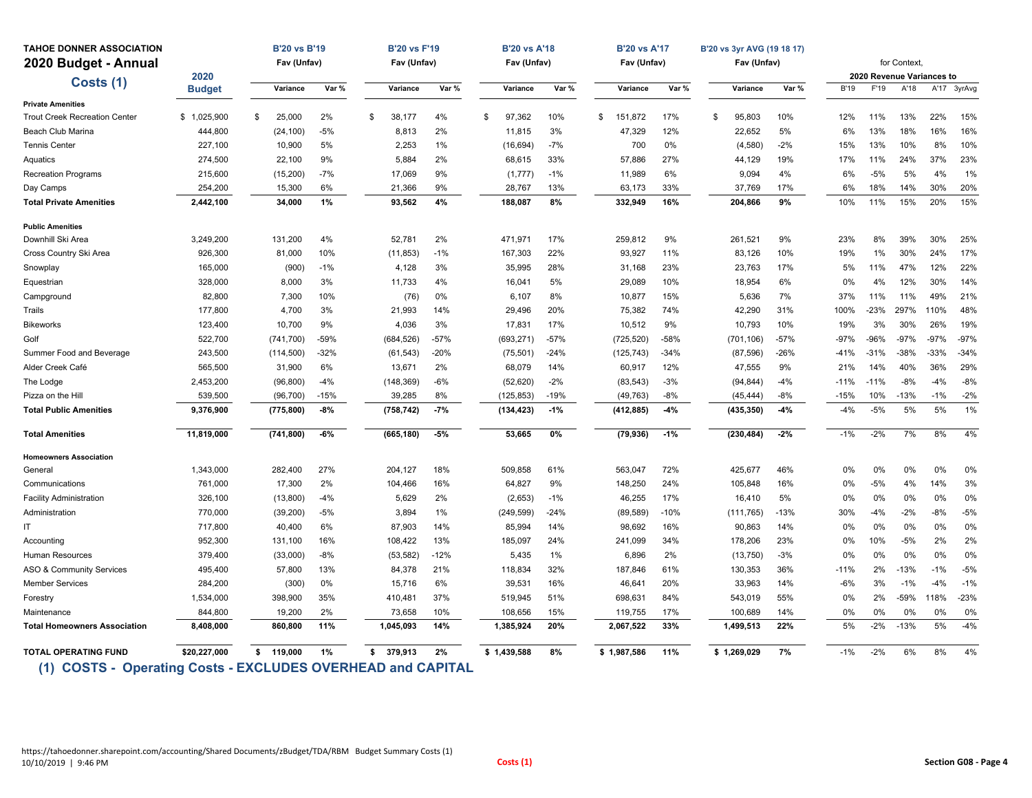| <b>TAHOE DONNER ASSOCIATION</b>      |               | <b>B'20 vs B'19</b> |        | <b>B'20 vs F'19</b> |        | <b>B'20 vs A'18</b> |        | <b>B'20 vs A'17</b> |        | B'20 vs 3yr AVG (19 18 17) |        |             |        | for Context.                      |        |             |
|--------------------------------------|---------------|---------------------|--------|---------------------|--------|---------------------|--------|---------------------|--------|----------------------------|--------|-------------|--------|-----------------------------------|--------|-------------|
| 2020 Budget - Annual                 | 2020          | Fav (Unfav)         |        | Fav (Unfav)         |        | Fav (Unfav)         |        | Fav (Unfav)         |        | Fav (Unfav)                |        |             |        |                                   |        |             |
| Costs (1)                            | <b>Budget</b> | Variance            | Var %  | Variance            | Var %  | Variance            | Var %  | Variance            | Var %  | Variance                   | Var %  | <b>B'19</b> | F'19   | 2020 Revenue Variances to<br>A'18 |        | A'17 3yrAvg |
| <b>Private Amenities</b>             |               |                     |        |                     |        |                     |        |                     |        |                            |        |             |        |                                   |        |             |
| <b>Trout Creek Recreation Center</b> | \$1,025,900   | \$<br>25,000        | 2%     | 38,177<br>\$        | 4%     | 97,362<br>\$        | 10%    | 151,872<br>\$       | 17%    | \$<br>95,803               | 10%    | 12%         | 11%    | 13%                               | 22%    | 15%         |
| Beach Club Marina                    | 444,800       | (24, 100)           | $-5%$  | 8.813               | 2%     | 11,815              | 3%     | 47,329              | 12%    | 22,652                     | 5%     | 6%          | 13%    | 18%                               | 16%    | 16%         |
| <b>Tennis Center</b>                 | 227,100       | 10,900              | 5%     | 2,253               | $1\%$  | (16, 694)           | $-7%$  | 700                 | 0%     | (4,580)                    | $-2%$  | 15%         | 13%    | 10%                               | 8%     | 10%         |
| Aquatics                             | 274,500       | 22,100              | 9%     | 5,884               | 2%     | 68,615              | 33%    | 57,886              | 27%    | 44,129                     | 19%    | 17%         | 11%    | 24%                               | 37%    | 23%         |
| <b>Recreation Programs</b>           | 215,600       | (15, 200)           | $-7%$  | 17,069              | 9%     | (1,777)             | $-1%$  | 11,989              | 6%     | 9,094                      | 4%     | 6%          | $-5%$  | 5%                                | 4%     | 1%          |
| Day Camps                            | 254,200       | 15,300              | 6%     | 21,366              | 9%     | 28,767              | 13%    | 63,173              | 33%    | 37,769                     | 17%    | 6%          | 18%    | 14%                               | 30%    | 20%         |
| <b>Total Private Amenities</b>       | 2,442,100     | 34,000              | 1%     | 93.562              | 4%     | 188,087             | 8%     | 332,949             | 16%    | 204,866                    | 9%     | 10%         | 11%    | 15%                               | 20%    | 15%         |
| <b>Public Amenities</b>              |               |                     |        |                     |        |                     |        |                     |        |                            |        |             |        |                                   |        |             |
| Downhill Ski Area                    | 3,249,200     | 131,200             | 4%     | 52.781              | 2%     | 471,971             | 17%    | 259,812             | 9%     | 261,521                    | 9%     | 23%         | 8%     | 39%                               | 30%    | 25%         |
| Cross Country Ski Area               | 926,300       | 81,000              | 10%    | (11, 853)           | $-1%$  | 167,303             | 22%    | 93,927              | 11%    | 83,126                     | 10%    | 19%         | 1%     | 30%                               | 24%    | 17%         |
| Snowplay                             | 165,000       | (900)               | $-1%$  | 4,128               | 3%     | 35,995              | 28%    | 31,168              | 23%    | 23,763                     | 17%    | 5%          | 11%    | 47%                               | 12%    | 22%         |
| Equestrian                           | 328,000       | 8,000               | 3%     | 11,733              | 4%     | 16,041              | 5%     | 29,089              | 10%    | 18,954                     | 6%     | 0%          | 4%     | 12%                               | 30%    | 14%         |
| Campground                           | 82,800        | 7,300               | 10%    | (76)                | 0%     | 6,107               | 8%     | 10,877              | 15%    | 5,636                      | 7%     | 37%         | 11%    | 11%                               | 49%    | 21%         |
| Trails                               | 177,800       | 4,700               | 3%     | 21,993              | 14%    | 29,496              | 20%    | 75,382              | 74%    | 42,290                     | 31%    | 100%        | $-23%$ | 297%                              | 110%   | 48%         |
| <b>Bikeworks</b>                     | 123,400       | 10,700              | 9%     | 4,036               | 3%     | 17,831              | 17%    | 10,512              | 9%     | 10,793                     | 10%    | 19%         | 3%     | 30%                               | 26%    | 19%         |
| Golf                                 | 522,700       | (741, 700)          | $-59%$ | (684, 526)          | $-57%$ | (693, 271)          | $-57%$ | (725, 520)          | $-58%$ | (701, 106)                 | $-57%$ | $-97%$      | $-96%$ | $-97%$                            | $-97%$ | $-97%$      |
| Summer Food and Beverage             | 243,500       | (114, 500)          | $-32%$ | (61, 543)           | $-20%$ | (75, 501)           | $-24%$ | (125, 743)          | $-34%$ | (87, 596)                  | -26%   | $-41%$      | $-31%$ | -38%                              | $-33%$ | $-34%$      |
| Alder Creek Café                     | 565,500       | 31,900              | 6%     | 13,671              | 2%     | 68,079              | 14%    | 60,917              | 12%    | 47,555                     | 9%     | 21%         | 14%    | 40%                               | 36%    | 29%         |
| The Lodge                            | 2,453,200     | (96, 800)           | $-4%$  | (148, 369)          | -6%    | (52, 620)           | $-2%$  | (83, 543)           | $-3%$  | (94, 844)                  | $-4%$  | $-11%$      | $-11%$ | $-8%$                             | $-4%$  | $-8%$       |
| Pizza on the Hill                    | 539,500       | (96, 700)           | $-15%$ | 39,285              | 8%     | (125, 853)          | $-19%$ | (49, 763)           | $-8%$  | (45, 444)                  | $-8%$  | $-15%$      | 10%    | $-13%$                            | $-1%$  | $-2%$       |
| <b>Total Public Amenities</b>        | 9,376,900     | (775, 800)          | $-8%$  | (758, 742)          | $-7%$  | (134, 423)          | $-1%$  | (412, 885)          | $-4%$  | (435, 350)                 | $-4%$  | $-4%$       | $-5%$  | 5%                                | 5%     | 1%          |
| <b>Total Amenities</b>               | 11,819,000    | (741, 800)          | $-6%$  | (665, 180)          | $-5%$  | 53,665              | 0%     | (79, 936)           | $-1%$  | (230, 484)                 | $-2%$  | $-1%$       | $-2%$  | 7%                                | 8%     | 4%          |
| <b>Homeowners Association</b>        |               |                     |        |                     |        |                     |        |                     |        |                            |        |             |        |                                   |        |             |
| General                              | 1,343,000     | 282,400             | 27%    | 204,127             | 18%    | 509,858             | 61%    | 563,047             | 72%    | 425,677                    | 46%    | 0%          | 0%     | 0%                                | 0%     | 0%          |
| Communications                       | 761,000       | 17,300              | 2%     | 104,466             | 16%    | 64,827              | 9%     | 148,250             | 24%    | 105,848                    | 16%    | 0%          | $-5%$  | 4%                                | 14%    | 3%          |
| <b>Facility Administration</b>       | 326,100       | (13,800)            | $-4%$  | 5.629               | 2%     | (2,653)             | $-1%$  | 46.255              | 17%    | 16,410                     | 5%     | 0%          | 0%     | 0%                                | 0%     | 0%          |
| Administration                       | 770,000       | (39, 200)           | $-5%$  | 3,894               | $1\%$  | (249, 599)          | $-24%$ | (89, 589)           | $-10%$ | (111, 765)                 | $-13%$ | 30%         | $-4%$  | $-2%$                             | $-8%$  | $-5%$       |
| IT                                   | 717,800       | 40,400              | 6%     | 87,903              | 14%    | 85,994              | 14%    | 98,692              | 16%    | 90,863                     | 14%    | 0%          | 0%     | 0%                                | 0%     | 0%          |
| Accounting                           | 952,300       | 131,100             | 16%    | 108,422             | 13%    | 185,097             | 24%    | 241,099             | 34%    | 178,206                    | 23%    | 0%          | 10%    | $-5%$                             | 2%     | 2%          |
| Human Resources                      | 379,400       | (33,000)            | $-8%$  | (53, 582)           | $-12%$ | 5,435               | 1%     | 6,896               | 2%     | (13, 750)                  | $-3%$  | 0%          | 0%     | 0%                                | 0%     | 0%          |
| ASO & Community Services             | 495,400       | 57,800              | 13%    | 84,378              | 21%    | 118,834             | 32%    | 187,846             | 61%    | 130,353                    | 36%    | $-11%$      | 2%     | $-13%$                            | $-1%$  | $-5%$       |
| <b>Member Services</b>               | 284,200       | (300)               | 0%     | 15,716              | 6%     | 39,531              | 16%    | 46,641              | 20%    | 33,963                     | 14%    | $-6%$       | 3%     | $-1%$                             | $-4%$  | $-1%$       |
| Forestry                             | 1,534,000     | 398,900             | 35%    | 410,481             | 37%    | 519,945             | 51%    | 698,631             | 84%    | 543,019                    | 55%    | 0%          | 2%     | $-59%$                            | 118%   | $-23%$      |
| Maintenance                          | 844,800       | 19,200              | 2%     | 73,658              | 10%    | 108,656             | 15%    | 119,755             | 17%    | 100,689                    | 14%    | 0%          | 0%     | 0%                                | 0%     | 0%          |
| <b>Total Homeowners Association</b>  | 8,408,000     | 860,800             | 11%    | 1,045,093           | 14%    | 1,385,924           | 20%    | 2,067,522           | 33%    | 1,499,513                  | 22%    | 5%          | $-2%$  | $-13%$                            | 5%     | $-4%$       |
| <b>TOTAL OPERATING FUND</b>          | \$20,227,000  | 119,000<br>s.       | 1%     | 379,913<br>\$       | 2%     | \$1,439,588         | 8%     | \$1,987,586         | 11%    | \$1,269,029                | 7%     | $-1%$       | $-2%$  | 6%                                | 8%     | 4%          |

 **(1) COSTS - Operating Costs - EXCLUDES OVERHEAD and CAPITAL**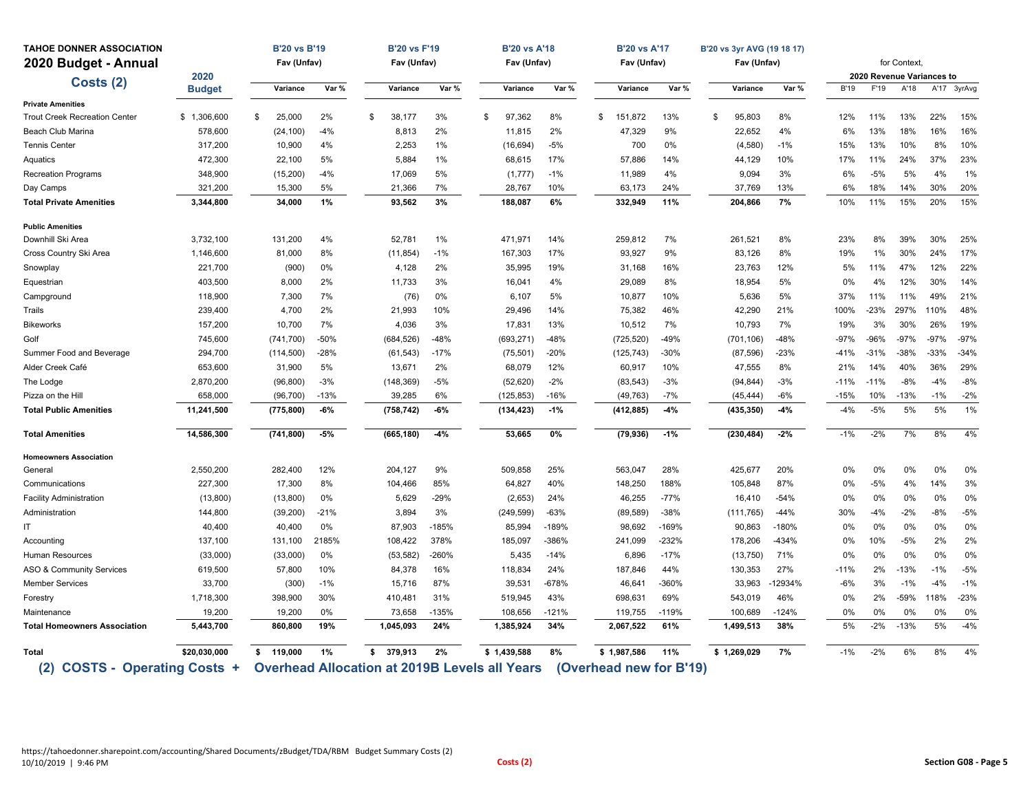| <b>TAHOE DONNER ASSOCIATION</b>      |               | <b>B'20 vs B'19</b> |        | <b>B'20 vs F'19</b> |         | <b>B'20 vs A'18</b>                                  |         | <b>B'20 vs A'17</b> |                         | B'20 vs 3yr AVG (19 18 17) |         |             |        |                           |        |             |
|--------------------------------------|---------------|---------------------|--------|---------------------|---------|------------------------------------------------------|---------|---------------------|-------------------------|----------------------------|---------|-------------|--------|---------------------------|--------|-------------|
| 2020 Budget - Annual                 |               | Fav (Unfav)         |        | Fav (Unfav)         |         | Fav (Unfav)                                          |         | Fav (Unfav)         |                         | Fav (Unfav)                |         |             |        | for Context,              |        |             |
| Costs (2)                            | 2020          |                     |        |                     |         |                                                      |         |                     |                         |                            |         |             |        | 2020 Revenue Variances to |        |             |
|                                      | <b>Budget</b> | Variance            | Var %  | Variance            | Var %   | Variance                                             | Var %   | Variance            | Var %                   | Variance                   | Var %   | <b>B'19</b> | F'19   | A'18                      |        | A'17 3yrAvg |
| <b>Private Amenities</b>             |               |                     |        |                     |         |                                                      |         |                     |                         |                            |         |             |        |                           |        |             |
| <b>Trout Creek Recreation Center</b> | \$1,306,600   | \$<br>25.000        | 2%     | \$<br>38,177        | 3%      | \$<br>97.362                                         | 8%      | \$<br>151.872       | 13%                     | \$<br>95,803               | 8%      | 12%         | 11%    | 13%                       | 22%    | 15%         |
| Beach Club Marina                    | 578,600       | (24, 100)           | $-4%$  | 8,813               | 2%      | 11,815                                               | 2%      | 47,329              | 9%                      | 22,652                     | 4%      | 6%          | 13%    | 18%                       | 16%    | 16%         |
| <b>Tennis Center</b>                 | 317,200       | 10,900              | 4%     | 2,253               | 1%      | (16, 694)                                            | $-5%$   | 700                 | 0%                      | (4,580)                    | $-1%$   | 15%         | 13%    | 10%                       | 8%     | 10%         |
| Aquatics                             | 472,300       | 22,100              | 5%     | 5,884               | 1%      | 68,615                                               | 17%     | 57,886              | 14%                     | 44,129                     | 10%     | 17%         | 11%    | 24%                       | 37%    | 23%         |
| <b>Recreation Programs</b>           | 348,900       | (15, 200)           | $-4%$  | 17,069              | 5%      | (1, 777)                                             | $-1%$   | 11,989              | 4%                      | 9,094                      | 3%      | 6%          | $-5%$  | 5%                        | 4%     | 1%          |
| Day Camps                            | 321,200       | 15,300              | 5%     | 21,366              | 7%      | 28,767                                               | 10%     | 63,173              | 24%                     | 37,769                     | 13%     | 6%          | 18%    | 14%                       | 30%    | 20%         |
| <b>Total Private Amenities</b>       | 3,344,800     | 34,000              | 1%     | 93,562              | 3%      | 188,087                                              | 6%      | 332,949             | 11%                     | 204,866                    | 7%      | 10%         | 11%    | 15%                       | 20%    | 15%         |
| <b>Public Amenities</b>              |               |                     |        |                     |         |                                                      |         |                     |                         |                            |         |             |        |                           |        |             |
| Downhill Ski Area                    | 3,732,100     | 131,200             | 4%     | 52,781              | 1%      | 471,971                                              | 14%     | 259,812             | 7%                      | 261,521                    | 8%      | 23%         | 8%     | 39%                       | 30%    | 25%         |
| Cross Country Ski Area               | 1,146,600     | 81,000              | 8%     | (11, 854)           | $-1%$   | 167,303                                              | 17%     | 93,927              | 9%                      | 83,126                     | 8%      | 19%         | 1%     | 30%                       | 24%    | 17%         |
| Snowplay                             | 221,700       | (900)               | 0%     | 4,128               | 2%      | 35,995                                               | 19%     | 31,168              | 16%                     | 23,763                     | 12%     | 5%          | 11%    | 47%                       | 12%    | 22%         |
| Equestrian                           | 403,500       | 8,000               | 2%     | 11,733              | 3%      | 16,041                                               | 4%      | 29,089              | 8%                      | 18,954                     | 5%      | 0%          | 4%     | 12%                       | 30%    | 14%         |
| Campground                           | 118,900       | 7,300               | 7%     | (76)                | 0%      | 6,107                                                | 5%      | 10,877              | 10%                     | 5,636                      | 5%      | 37%         | 11%    | 11%                       | 49%    | 21%         |
| Trails                               | 239,400       | 4,700               | 2%     | 21,993              | 10%     | 29,496                                               | 14%     | 75,382              | 46%                     | 42,290                     | 21%     | 100%        | $-23%$ | 297%                      | 110%   | 48%         |
| <b>Bikeworks</b>                     | 157,200       | 10,700              | 7%     | 4,036               | 3%      | 17,831                                               | 13%     | 10,512              | 7%                      | 10,793                     | 7%      | 19%         | 3%     | 30%                       | 26%    | 19%         |
| Golf                                 | 745,600       | (741, 700)          | $-50%$ | (684, 526)          | $-48%$  | (693, 271)                                           | $-48%$  | (725, 520)          | $-49%$                  | (701, 106)                 | $-48%$  | $-97%$      | $-96%$ | $-97%$                    | $-97%$ | $-97%$      |
| Summer Food and Beverage             | 294,700       | (114, 500)          | $-28%$ | (61, 543)           | $-17%$  | (75, 501)                                            | $-20%$  | (125, 743)          | $-30%$                  | (87, 596)                  | $-23%$  | $-41%$      | $-31%$ | $-38%$                    | $-33%$ | $-34%$      |
| Alder Creek Café                     | 653,600       | 31,900              | 5%     | 13,671              | 2%      | 68,079                                               | 12%     | 60,917              | 10%                     | 47,555                     | 8%      | 21%         | 14%    | 40%                       | 36%    | 29%         |
| The Lodge                            | 2,870,200     | (96, 800)           | $-3%$  | (148, 369)          | $-5%$   | (52, 620)                                            | $-2%$   | (83, 543)           | $-3%$                   | (94, 844)                  | $-3%$   | $-11%$      | $-11%$ | $-8%$                     | $-4%$  | $-8%$       |
| Pizza on the Hill                    | 658,000       | (96, 700)           | $-13%$ | 39,285              | 6%      | (125, 853)                                           | $-16%$  | (49, 763)           | $-7%$                   | (45, 444)                  | $-6%$   | $-15%$      | 10%    | $-13%$                    | $-1%$  | $-2%$       |
| <b>Total Public Amenities</b>        | 11,241,500    | (775, 800)          | $-6%$  | (758, 742)          | $-6%$   | (134, 423)                                           | $-1%$   | (412, 885)          | $-4%$                   | (435, 350)                 | $-4%$   | $-4%$       | $-5%$  | 5%                        | 5%     | 1%          |
| <b>Total Amenities</b>               | 14,586,300    | (741, 800)          | $-5%$  | (665, 180)          | $-4%$   | 53,665                                               | 0%      | (79, 936)           | $-1%$                   | (230, 484)                 | $-2%$   | $-1%$       | $-2%$  | 7%                        | 8%     | 4%          |
| <b>Homeowners Association</b>        |               |                     |        |                     |         |                                                      |         |                     |                         |                            |         |             |        |                           |        |             |
| General                              | 2,550,200     | 282,400             | 12%    | 204,127             | 9%      | 509,858                                              | 25%     | 563,047             | 28%                     | 425,677                    | 20%     | 0%          | 0%     | 0%                        | 0%     | 0%          |
| Communications                       | 227,300       | 17,300              | 8%     | 104,466             | 85%     | 64,827                                               | 40%     | 148,250             | 188%                    | 105,848                    | 87%     | 0%          | $-5%$  | 4%                        | 14%    | 3%          |
| <b>Facility Administration</b>       | (13,800)      | (13,800)            | 0%     | 5,629               | -29%    | (2,653)                                              | 24%     | 46,255              | $-77%$                  | 16,410                     | $-54%$  | 0%          | 0%     | 0%                        | 0%     | 0%          |
| Administration                       | 144,800       | (39, 200)           | $-21%$ | 3,894               | 3%      | (249, 599)                                           | $-63%$  | (89, 589)           | $-38%$                  | (111, 765)                 | $-44%$  | 30%         | $-4%$  | $-2%$                     | $-8%$  | $-5%$       |
| IT.                                  | 40,400        | 40,400              | 0%     | 87,903              | $-185%$ | 85,994                                               | $-189%$ | 98,692              | $-169%$                 | 90,863                     | $-180%$ | 0%          | 0%     | 0%                        | 0%     | 0%          |
| Accounting                           | 137,100       | 131,100             | 2185%  | 108,422             | 378%    | 185,097                                              | -386%   | 241,099             | $-232%$                 | 178,206                    | $-434%$ | 0%          | 10%    | $-5%$                     | 2%     | 2%          |
| <b>Human Resources</b>               | (33,000)      | (33,000)            | 0%     | (53, 582)           | $-260%$ | 5,435                                                | $-14%$  | 6,896               | $-17%$                  | (13,750)                   | 71%     | 0%          | 0%     | 0%                        | 0%     | 0%          |
| ASO & Community Services             | 619,500       | 57,800              | 10%    | 84,378              | 16%     | 118,834                                              | 24%     | 187,846             | 44%                     | 130,353                    | 27%     | $-11%$      | 2%     | $-13%$                    | $-1%$  | $-5%$       |
| <b>Member Services</b>               | 33,700        | (300)               | $-1%$  | 15,716              | 87%     | 39,531                                               | $-678%$ | 46,641              | -360%                   | 33,963                     | -12934% | $-6%$       | 3%     | $-1%$                     | $-4%$  | $-1%$       |
| Forestry                             | 1,718,300     | 398,900             | 30%    | 410,481             | 31%     | 519,945                                              | 43%     | 698,631             | 69%                     | 543,019                    | 46%     | 0%          | 2%     | -59%                      | 118%   | $-23%$      |
| Maintenance                          | 19,200        | 19,200              | 0%     | 73,658              | $-135%$ | 108,656                                              | $-121%$ | 119,755             | $-119%$                 | 100,689                    | $-124%$ | 0%          | 0%     | 0%                        | 0%     | 0%          |
| <b>Total Homeowners Association</b>  | 5,443,700     | 860,800             | 19%    | 1,045,093           | 24%     | 1,385,924                                            | 34%     | 2,067,522           | 61%                     | 1,499,513                  | 38%     | 5%          | $-2%$  | $-13%$                    | 5%     | $-4%$       |
| Total                                | \$20,030,000  | 119.000<br>s.       | 1%     | \$<br>379.913       | 2%      | \$1.439.588                                          | 8%      | \$1,987,586         | 11%                     | \$1,269,029                | 7%      | $-1%$       | $-2%$  | 6%                        | 8%     | 4%          |
| (2) COSTS - Operating Costs +        |               |                     |        |                     |         | <b>Overhead Allocation at 2019B Levels all Years</b> |         |                     | (Overhead new for B'19) |                            |         |             |        |                           |        |             |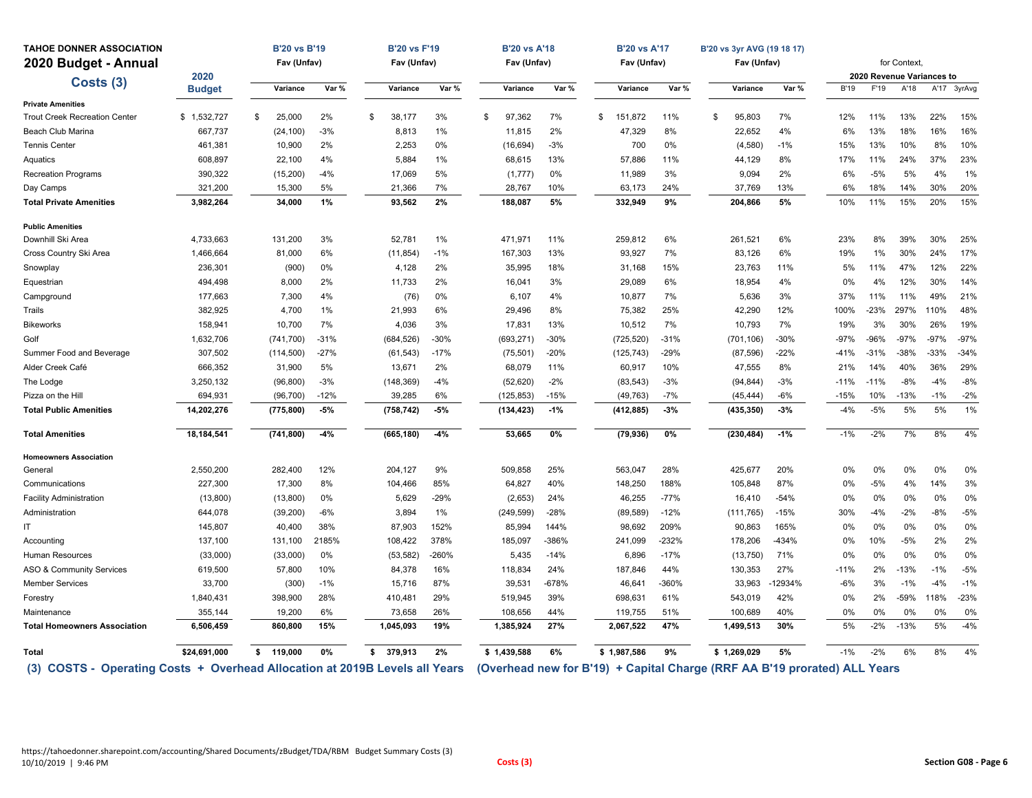| <b>TAHOE DONNER ASSOCIATION</b>                                             |               | <b>B'20 vs B'19</b> |        | <b>B'20 vs F'19</b> |         | <b>B'20 vs A'18</b>                                                       |        | <b>B'20 vs A'17</b> |         | B'20 vs 3yr AVG (19 18 17) |         |             |        |              |                           |             |
|-----------------------------------------------------------------------------|---------------|---------------------|--------|---------------------|---------|---------------------------------------------------------------------------|--------|---------------------|---------|----------------------------|---------|-------------|--------|--------------|---------------------------|-------------|
| 2020 Budget - Annual                                                        |               | Fav (Unfav)         |        | Fav (Unfav)         |         | Fav (Unfav)                                                               |        | Fav (Unfav)         |         | Fav (Unfav)                |         |             |        | for Context. |                           |             |
| Costs (3)                                                                   | 2020          |                     |        |                     |         |                                                                           |        |                     |         |                            |         |             |        |              | 2020 Revenue Variances to |             |
|                                                                             | <b>Budget</b> | Variance            | Var %  | Variance            | Var %   | Variance                                                                  | Var %  | Variance            | Var %   | Variance                   | Var %   | <b>B'19</b> | F'19   | A'18         |                           | A'17 3yrAvg |
| <b>Private Amenities</b>                                                    |               |                     |        |                     |         |                                                                           |        |                     |         |                            |         |             |        |              |                           |             |
| <b>Trout Creek Recreation Center</b>                                        | \$1,532,727   | 25,000<br>S         | 2%     | 38,177<br>\$        | 3%      | 97,362<br>\$                                                              | 7%     | \$<br>151,872       | 11%     | \$<br>95,803               | 7%      | 12%         | 11%    | 13%          | 22%                       | 15%         |
| Beach Club Marina                                                           | 667,737       | (24, 100)           | $-3%$  | 8,813               | 1%      | 11,815                                                                    | 2%     | 47,329              | 8%      | 22,652                     | 4%      | 6%          | 13%    | 18%          | 16%                       | 16%         |
| <b>Tennis Center</b>                                                        | 461,381       | 10,900              | 2%     | 2,253               | 0%      | (16, 694)                                                                 | $-3%$  | 700                 | 0%      | (4,580)                    | $-1%$   | 15%         | 13%    | 10%          | 8%                        | 10%         |
| Aquatics                                                                    | 608,897       | 22,100              | 4%     | 5,884               | 1%      | 68,615                                                                    | 13%    | 57,886              | 11%     | 44,129                     | 8%      | 17%         | 11%    | 24%          | 37%                       | 23%         |
| <b>Recreation Programs</b>                                                  | 390,322       | (15, 200)           | $-4%$  | 17,069              | 5%      | (1,777)                                                                   | 0%     | 11,989              | 3%      | 9,094                      | 2%      | 6%          | $-5%$  | 5%           | 4%                        | 1%          |
| Day Camps                                                                   | 321,200       | 15,300              | 5%     | 21,366              | 7%      | 28,767                                                                    | 10%    | 63,173              | 24%     | 37,769                     | 13%     | 6%          | 18%    | 14%          | 30%                       | 20%         |
| <b>Total Private Amenities</b>                                              | 3,982,264     | 34,000              | 1%     | 93,562              | 2%      | 188,087                                                                   | 5%     | 332,949             | 9%      | 204,866                    | 5%      | 10%         | 11%    | 15%          | 20%                       | 15%         |
| <b>Public Amenities</b>                                                     |               |                     |        |                     |         |                                                                           |        |                     |         |                            |         |             |        |              |                           |             |
| Downhill Ski Area                                                           | 4,733,663     | 131.200             | 3%     | 52.781              | 1%      | 471,971                                                                   | 11%    | 259.812             | 6%      | 261,521                    | 6%      | 23%         | 8%     | 39%          | 30%                       | 25%         |
| Cross Country Ski Area                                                      | 1,466,664     | 81,000              | 6%     | (11,854)            | $-1%$   | 167,303                                                                   | 13%    | 93,927              | 7%      | 83,126                     | 6%      | 19%         | 1%     | 30%          | 24%                       | 17%         |
| Snowplay                                                                    | 236,301       | (900)               | 0%     | 4,128               | 2%      | 35,995                                                                    | 18%    | 31,168              | 15%     | 23,763                     | 11%     | 5%          | 11%    | 47%          | 12%                       | 22%         |
| Equestrian                                                                  | 494,498       | 8,000               | 2%     | 11,733              | 2%      | 16,041                                                                    | 3%     | 29,089              | 6%      | 18,954                     | 4%      | 0%          | 4%     | 12%          | 30%                       | 14%         |
| Campground                                                                  | 177,663       | 7.300               | 4%     | (76)                | 0%      | 6.107                                                                     | 4%     | 10,877              | 7%      | 5.636                      | 3%      | 37%         | 11%    | 11%          | 49%                       | 21%         |
| Trails                                                                      | 382,925       | 4,700               | 1%     | 21,993              | 6%      | 29,496                                                                    | 8%     | 75,382              | 25%     | 42,290                     | 12%     | 100%        | -23%   | 297%         | 110%                      | 48%         |
| <b>Bikeworks</b>                                                            | 158,941       | 10,700              | 7%     | 4,036               | 3%      | 17,831                                                                    | 13%    | 10,512              | 7%      | 10,793                     | 7%      | 19%         | 3%     | 30%          | 26%                       | 19%         |
| Golf                                                                        | 1,632,706     | (741, 700)          | $-31%$ | (684, 526)          | $-30%$  | (693, 271)                                                                | $-30%$ | (725, 520)          | $-31%$  | (701, 106)                 | $-30%$  | $-97%$      | $-96%$ | $-97%$       | $-97%$                    | $-97%$      |
| Summer Food and Beverage                                                    | 307,502       | (114, 500)          | $-27%$ | (61, 543)           | $-17%$  | (75, 501)                                                                 | $-20%$ | (125, 743)          | $-29%$  | (87, 596)                  | $-22%$  | $-41%$      | $-31%$ | $-38%$       | $-33%$                    | $-34%$      |
| Alder Creek Café                                                            | 666,352       | 31,900              | 5%     | 13,671              | 2%      | 68,079                                                                    | 11%    | 60,917              | 10%     | 47,555                     | 8%      | 21%         | 14%    | 40%          | 36%                       | 29%         |
| The Lodge                                                                   | 3,250,132     | (96, 800)           | $-3%$  | (148, 369)          | $-4%$   | (52, 620)                                                                 | $-2%$  | (83, 543)           | $-3%$   | (94, 844)                  | $-3%$   | $-11%$      | $-11%$ | $-8%$        | $-4%$                     | $-8%$       |
| Pizza on the Hill                                                           | 694,931       | (96, 700)           | $-12%$ | 39,285              | 6%      | (125, 853)                                                                | $-15%$ | (49, 763)           | $-7%$   | (45, 444)                  | $-6%$   | $-15%$      | 10%    | $-13%$       | $-1%$                     | $-2%$       |
| <b>Total Public Amenities</b>                                               | 14,202,276    | (775, 800)          | $-5%$  | (758, 742)          | $-5%$   | (134, 423)                                                                | $-1%$  | (412, 885)          | $-3%$   | (435, 350)                 | $-3%$   | $-4%$       | $-5%$  | 5%           | 5%                        | 1%          |
| <b>Total Amenities</b>                                                      | 18,184,541    | (741, 800)          | $-4%$  | (665, 180)          | $-4%$   | 53,665                                                                    | 0%     | (79, 936)           | $0\%$   | (230, 484)                 | $-1%$   | $-1%$       | $-2%$  | 7%           | 8%                        | 4%          |
| <b>Homeowners Association</b>                                               |               |                     |        |                     |         |                                                                           |        |                     |         |                            |         |             |        |              |                           |             |
| General                                                                     | 2,550,200     | 282,400             | 12%    | 204,127             | 9%      | 509,858                                                                   | 25%    | 563,047             | 28%     | 425,677                    | 20%     | 0%          | 0%     | 0%           | 0%                        | 0%          |
| Communications                                                              | 227,300       | 17,300              | 8%     | 104,466             | 85%     | 64,827                                                                    | 40%    | 148,250             | 188%    | 105,848                    | 87%     | 0%          | $-5%$  | 4%           | 14%                       | 3%          |
| <b>Facility Administration</b>                                              | (13,800)      | (13, 800)           | 0%     | 5,629               | $-29%$  | (2,653)                                                                   | 24%    | 46,255              | $-77%$  | 16,410                     | $-54%$  | 0%          | 0%     | 0%           | 0%                        | 0%          |
| Administration                                                              | 644,078       | (39, 200)           | -6%    | 3,894               | 1%      | (249, 599)                                                                | $-28%$ | (89, 589)           | $-12%$  | (111, 765)                 | $-15%$  | 30%         | $-4%$  | $-2%$        | -8%                       | $-5%$       |
| ΙT                                                                          | 145,807       | 40,400              | 38%    | 87,903              | 152%    | 85,994                                                                    | 144%   | 98,692              | 209%    | 90,863                     | 165%    | 0%          | 0%     | 0%           | 0%                        | 0%          |
| Accounting                                                                  | 137,100       | 131,100             | 2185%  | 108,422             | 378%    | 185,097                                                                   | -386%  | 241,099             | $-232%$ | 178,206                    | $-434%$ | 0%          | 10%    | $-5%$        | 2%                        | 2%          |
| Human Resources                                                             | (33,000)      | (33,000)            | 0%     | (53, 582)           | $-260%$ | 5,435                                                                     | $-14%$ | 6,896               | $-17%$  | (13, 750)                  | 71%     | 0%          | 0%     | 0%           | 0%                        | 0%          |
| ASO & Community Services                                                    | 619,500       | 57,800              | 10%    | 84,378              | 16%     | 118,834                                                                   | 24%    | 187,846             | 44%     | 130,353                    | 27%     | $-11%$      | 2%     | $-13%$       | $-1%$                     | $-5%$       |
| <b>Member Services</b>                                                      | 33,700        | (300)               | $-1%$  | 15,716              | 87%     | 39,531                                                                    | -678%  | 46,641              | -360%   | 33,963                     | 12934%  | $-6%$       | 3%     | $-1%$        | $-4%$                     | $-1%$       |
| Forestry                                                                    | 1,840,431     | 398,900             | 28%    | 410,481             | 29%     | 519,945                                                                   | 39%    | 698,631             | 61%     | 543,019                    | 42%     | 0%          | 2%     | $-59%$       | 118%                      | $-23%$      |
| Maintenance                                                                 | 355,144       | 19,200              | 6%     | 73,658              | 26%     | 108,656                                                                   | 44%    | 119,755             | 51%     | 100,689                    | 40%     | 0%          | 0%     | 0%           | 0%                        | 0%          |
| <b>Total Homeowners Association</b>                                         | 6,506,459     | 860,800             | 15%    | 1,045,093           | 19%     | 1,385,924                                                                 | 27%    | 2,067,522           | 47%     | 1,499,513                  | 30%     | 5%          | $-2%$  | $-13%$       | 5%                        | $-4%$       |
| Total                                                                       | \$24,691,000  | 119.000<br>s.       | 0%     | 379.913<br>\$       | 2%      | \$1.439.588                                                               | 6%     | \$1,987,586         | 9%      | \$1,269,029                | 5%      | $-1%$       | $-2%$  | 6%           | 8%                        | 4%          |
| (3) COSTS - Operating Costs + Overhead Allocation at 2019B Levels all Years |               |                     |        |                     |         | (Overhead new for B'19) + Capital Charge (RRF AA B'19 prorated) ALL Years |        |                     |         |                            |         |             |        |              |                           |             |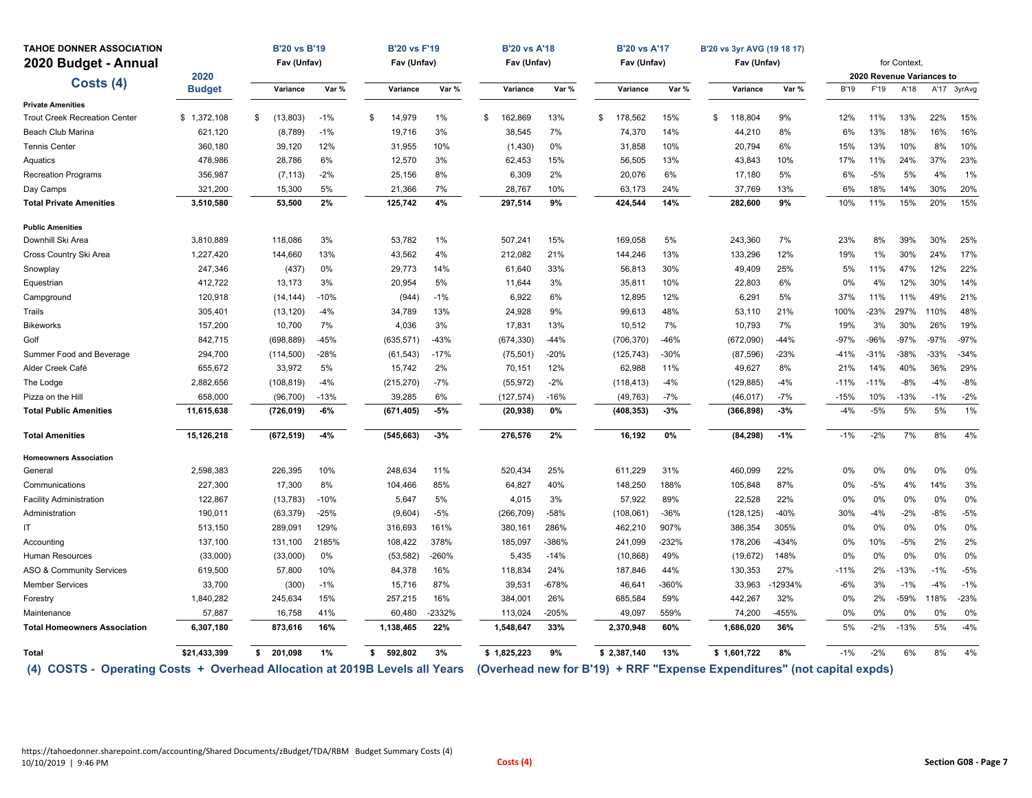| <b>TAHOE DONNER ASSOCIATION</b>                                             |               | <b>B'20 vs B'19</b> |        | <b>B'20 vs F'19</b> |          | <b>B'20 vs A'18</b>                                                      |         | <b>B'20 vs A'17</b> |         | B'20 vs 3yr AVG (19 18 17) |         |             |        |                           |        |             |
|-----------------------------------------------------------------------------|---------------|---------------------|--------|---------------------|----------|--------------------------------------------------------------------------|---------|---------------------|---------|----------------------------|---------|-------------|--------|---------------------------|--------|-------------|
| 2020 Budget - Annual                                                        |               | Fav (Unfav)         |        | Fav (Unfav)         |          | Fav (Unfav)                                                              |         | Fav (Unfav)         |         | Fav (Unfav)                |         |             |        | for Context.              |        |             |
| Costs (4)                                                                   | 2020          |                     |        |                     |          |                                                                          |         |                     |         |                            |         |             |        | 2020 Revenue Variances to |        |             |
|                                                                             | <b>Budget</b> | Variance            | Var %  | Variance            | Var %    | Variance                                                                 | Var %   | Variance            | Var %   | Variance                   | Var %   | <b>B'19</b> | F'19   | A'18                      |        | A'17 3yrAvg |
| <b>Private Amenities</b>                                                    |               |                     |        |                     |          |                                                                          |         |                     |         |                            |         |             |        |                           |        |             |
| <b>Trout Creek Recreation Center</b>                                        | \$1,372,108   | (13, 803)<br>\$     | $-1%$  | 14,979<br>\$        | 1%       | 162,869<br>\$                                                            | 13%     | \$<br>178,562       | 15%     | \$<br>118,804              | 9%      | 12%         | 11%    | 13%                       | 22%    | 15%         |
| Beach Club Marina                                                           | 621,120       | (8,789)             | $-1%$  | 19,716              | 3%       | 38,545                                                                   | 7%      | 74,370              | 14%     | 44,210                     | 8%      | 6%          | 13%    | 18%                       | 16%    | 16%         |
| <b>Tennis Center</b>                                                        | 360,180       | 39,120              | 12%    | 31,955              | 10%      | (1, 430)                                                                 | 0%      | 31,858              | 10%     | 20,794                     | 6%      | 15%         | 13%    | 10%                       | 8%     | 10%         |
| Aquatics                                                                    | 478,986       | 28,786              | 6%     | 12,570              | 3%       | 62,453                                                                   | 15%     | 56,505              | 13%     | 43,843                     | 10%     | 17%         | 11%    | 24%                       | 37%    | 23%         |
| Recreation Programs                                                         | 356,987       | (7, 113)            | $-2%$  | 25,156              | 8%       | 6,309                                                                    | 2%      | 20,076              | 6%      | 17,180                     | 5%      | 6%          | $-5%$  | 5%                        | 4%     | 1%          |
| Day Camps                                                                   | 321,200       | 15,300              | 5%     | 21,366              | 7%       | 28,767                                                                   | 10%     | 63,173              | 24%     | 37,769                     | 13%     | 6%          | 18%    | 14%                       | 30%    | 20%         |
| <b>Total Private Amenities</b>                                              | 3,510,580     | 53,500              | 2%     | 125,742             | 4%       | 297,514                                                                  | 9%      | 424,544             | 14%     | 282,600                    | 9%      | 10%         | 11%    | 15%                       | 20%    | 15%         |
| <b>Public Amenities</b>                                                     |               |                     |        |                     |          |                                                                          |         |                     |         |                            |         |             |        |                           |        |             |
| Downhill Ski Area                                                           | 3,810,889     | 118,086             | 3%     | 53,782              | 1%       | 507,241                                                                  | 15%     | 169,058             | 5%      | 243,360                    | 7%      | 23%         | 8%     | 39%                       | 30%    | 25%         |
| Cross Country Ski Area                                                      | 1,227,420     | 144,660             | 13%    | 43,562              | 4%       | 212,082                                                                  | 21%     | 144,246             | 13%     | 133,296                    | 12%     | 19%         | 1%     | 30%                       | 24%    | 17%         |
| Snowplay                                                                    | 247,346       | (437)               | 0%     | 29,773              | 14%      | 61,640                                                                   | 33%     | 56,813              | 30%     | 49,409                     | 25%     | 5%          | 11%    | 47%                       | 12%    | 22%         |
| Equestrian                                                                  | 412,722       | 13,173              | 3%     | 20,954              | 5%       | 11,644                                                                   | 3%      | 35,811              | 10%     | 22,803                     | 6%      | 0%          | 4%     | 12%                       | 30%    | 14%         |
| Campground                                                                  | 120,918       | (14, 144)           | $-10%$ | (944)               | $-1%$    | 6,922                                                                    | 6%      | 12,895              | 12%     | 6,291                      | 5%      | 37%         | 11%    | 11%                       | 49%    | 21%         |
| Trails                                                                      | 305,401       | (13, 120)           | $-4%$  | 34,789              | 13%      | 24,928                                                                   | 9%      | 99,613              | 48%     | 53,110                     | 21%     | 100%        | $-23%$ | 297%                      | 110%   | 48%         |
| <b>Bikeworks</b>                                                            | 157,200       | 10,700              | 7%     | 4,036               | 3%       | 17,831                                                                   | 13%     | 10,512              | 7%      | 10,793                     | 7%      | 19%         | 3%     | 30%                       | 26%    | 19%         |
| Golf                                                                        | 842,715       | (698, 889)          | $-45%$ | (635, 571)          | $-43%$   | (674, 330)                                                               | $-44%$  | (706, 370)          | $-46%$  | (672,090)                  | $-44%$  | $-97%$      | $-96%$ | $-97%$                    | $-97%$ | $-97%$      |
| Summer Food and Beverage                                                    | 294,700       | (114, 500)          | $-28%$ | (61, 543)           | $-17%$   | (75, 501)                                                                | $-20%$  | (125, 743)          | $-30%$  | (87, 596)                  | $-23%$  | $-41%$      | $-31%$ | $-38%$                    | $-33%$ | $-34%$      |
| Alder Creek Café                                                            | 655,672       | 33,972              | 5%     | 15,742              | 2%       | 70,151                                                                   | 12%     | 62,988              | 11%     | 49,627                     | 8%      | 21%         | 14%    | 40%                       | 36%    | 29%         |
| The Lodge                                                                   | 2,882,656     | (108, 819)          | $-4%$  | (215, 270)          | $-7%$    | (55, 972)                                                                | $-2%$   | (118, 413)          | $-4%$   | (129, 885)                 | $-4%$   | $-11%$      | $-11%$ | $-8%$                     | $-4%$  | $-8%$       |
| Pizza on the Hill                                                           | 658,000       | (96, 700)           | $-13%$ | 39,285              | 6%       | (127, 574)                                                               | $-16%$  | (49, 763)           | $-7%$   | (46, 017)                  | $-7%$   | $-15%$      | 10%    | $-13%$                    | $-1%$  | $-2%$       |
| <b>Total Public Amenities</b>                                               | 11,615,638    | (726, 019)          | $-6%$  | (671, 405)          | $-5%$    | (20, 938)                                                                | 0%      | (408, 353)          | $-3%$   | (366, 898)                 | $-3%$   | $-4%$       | $-5%$  | 5%                        | 5%     | 1%          |
| <b>Total Amenities</b>                                                      | 15,126,218    | (672, 519)          | $-4%$  | (545, 663)          | $-3%$    | 276,576                                                                  | 2%      | 16,192              | 0%      | (84, 298)                  | $-1%$   | $-1%$       | $-2%$  | 7%                        | 8%     | 4%          |
| <b>Homeowners Association</b>                                               |               |                     |        |                     |          |                                                                          |         |                     |         |                            |         |             |        |                           |        |             |
| General                                                                     | 2,598,383     | 226,395             | 10%    | 248,634             | 11%      | 520,434                                                                  | 25%     | 611,229             | 31%     | 460,099                    | 22%     | 0%          | 0%     | 0%                        | 0%     | 0%          |
| Communications                                                              | 227,300       | 17,300              | 8%     | 104,466             | 85%      | 64,827                                                                   | 40%     | 148,250             | 188%    | 105,848                    | 87%     | 0%          | $-5%$  | 4%                        | 14%    | 3%          |
| <b>Facility Administration</b>                                              | 122,867       | (13, 783)           | $-10%$ | 5,647               | 5%       | 4,015                                                                    | 3%      | 57,922              | 89%     | 22,528                     | 22%     | 0%          | 0%     | 0%                        | 0%     | 0%          |
| Administration                                                              | 190,011       | (63, 379)           | $-25%$ | (9,604)             | $-5%$    | (266, 709)                                                               | $-58%$  | (108, 061)          | $-36%$  | (128, 125)                 | $-40%$  | 30%         | $-4%$  | $-2%$                     | $-8%$  | $-5%$       |
| IT                                                                          | 513,150       | 289,091             | 129%   | 316,693             | 161%     | 380,161                                                                  | 286%    | 462,210             | 907%    | 386,354                    | 305%    | 0%          | 0%     | 0%                        | 0%     | 0%          |
| Accounting                                                                  | 137,100       | 131,100             | 2185%  | 108,422             | 378%     | 185,097                                                                  | -386%   | 241,099             | $-232%$ | 178,206                    | $-434%$ | 0%          | 10%    | $-5%$                     | 2%     | 2%          |
| Human Resources                                                             | (33,000)      | (33,000)            | 0%     | (53, 582)           | $-260%$  | 5,435                                                                    | $-14%$  | (10, 868)           | 49%     | (19, 672)                  | 148%    | 0%          | 0%     | 0%                        | 0%     | 0%          |
| ASO & Community Services                                                    | 619,500       | 57,800              | 10%    | 84,378              | 16%      | 118,834                                                                  | 24%     | 187,846             | 44%     | 130,353                    | 27%     | $-11%$      | 2%     | $-13%$                    | $-1%$  | $-5%$       |
| <b>Member Services</b>                                                      | 33,700        | (300)               | $-1%$  | 15,716              | 87%      | 39,531                                                                   | $-678%$ | 46,641              | -360%   | 33,963                     | -12934% | $-6%$       | 3%     | $-1%$                     | $-4%$  | $-1%$       |
| Forestry                                                                    | 1,840,282     | 245,634             | 15%    | 257.215             | 16%      | 384,001                                                                  | 26%     | 685,584             | 59%     | 442,267                    | 32%     | 0%          | 2%     | $-59%$                    | 118%   | $-23%$      |
| Maintenance                                                                 | 57,887        | 16,758              | 41%    | 60,480              | $-2332%$ | 113,024                                                                  | -205%   | 49,097              | 559%    | 74,200                     | $-455%$ | 0%          | 0%     | 0%                        | 0%     | 0%          |
| <b>Total Homeowners Association</b>                                         | 6,307,180     | 873,616             | 16%    | 1,138,465           | 22%      | 1,548,647                                                                | 33%     | 2,370,948           | 60%     | 1,686,020                  | 36%     | 5%          | $-2%$  | $-13%$                    | 5%     | $-4%$       |
| Total                                                                       | \$21,433,399  | 201.098<br>s.       | 1%     | 592.802<br>\$       | 3%       | \$1,825,223                                                              | 9%      | \$2,387,140         | 13%     | \$1,601,722                | 8%      | $-1%$       | $-2%$  | 6%                        | 8%     | 4%          |
| (4) COSTS - Operating Costs + Overhead Allocation at 2019B Levels all Years |               |                     |        |                     |          | (Overhead new for B'19) + RRF "Expense Expenditures" (not capital expds) |         |                     |         |                            |         |             |        |                           |        |             |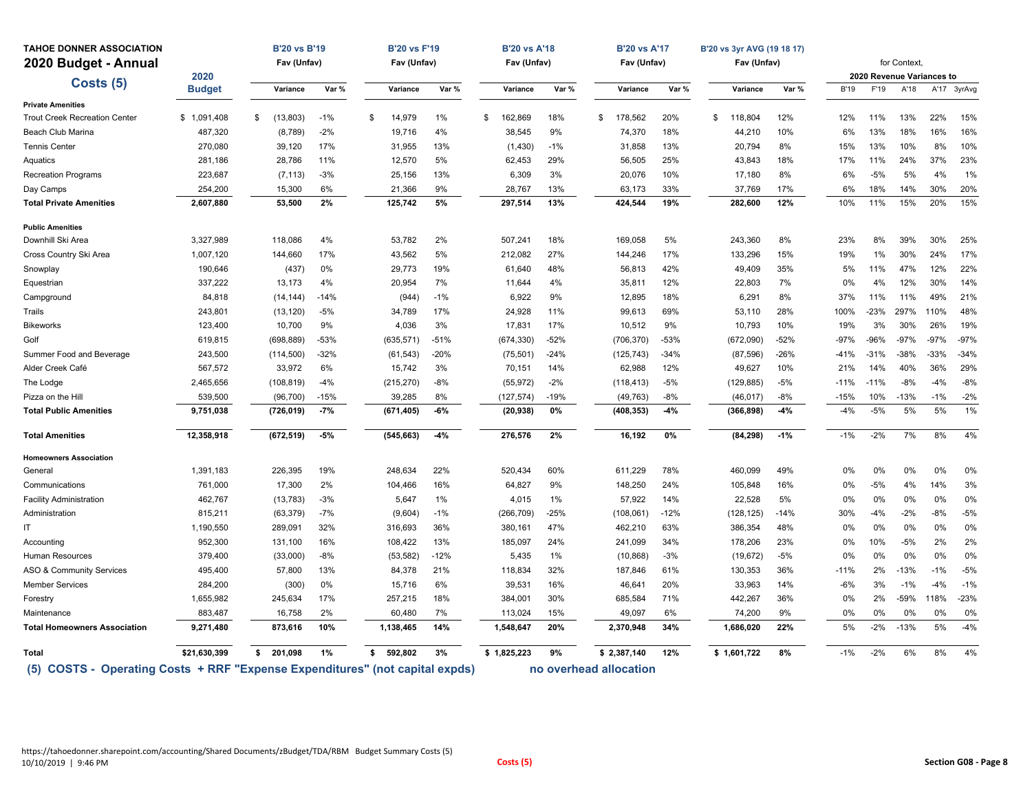| <b>TAHOE DONNER ASSOCIATION</b>      |                                                                  | <b>B'20 vs B'19</b> |        | <b>B'20 vs F'19</b> |        | <b>B'20 vs A'18</b> |        | <b>B'20 vs A'17</b>    |        | B'20 vs 3yr AVG (19 18 17) |        |             |        |                                   |        |             |
|--------------------------------------|------------------------------------------------------------------|---------------------|--------|---------------------|--------|---------------------|--------|------------------------|--------|----------------------------|--------|-------------|--------|-----------------------------------|--------|-------------|
| 2020 Budget - Annual                 |                                                                  | Fav (Unfav)         |        | Fav (Unfav)         |        | Fav (Unfav)         |        | Fav (Unfav)            |        | Fav (Unfav)                |        |             |        | for Context,                      |        |             |
| Costs (5)                            | 2020<br><b>Budget</b>                                            | Variance            | Var %  | Variance            | Var %  | Variance            | Var %  | Variance               | Var %  | Variance                   | Var %  | <b>B'19</b> | F'19   | 2020 Revenue Variances to<br>A'18 |        | A'17 3yrAvg |
| <b>Private Amenities</b>             |                                                                  |                     |        |                     |        |                     |        |                        |        |                            |        |             |        |                                   |        |             |
| <b>Trout Creek Recreation Center</b> | \$1,091,408                                                      | (13,803)<br>\$      | $-1%$  | 14,979<br>\$        | 1%     | 162,869<br>\$       | 18%    | 178,562<br>\$          | 20%    | 118,804<br>\$              | 12%    | 12%         | 11%    | 13%                               | 22%    | 15%         |
| Beach Club Marina                    | 487,320                                                          | (8,789)             | $-2%$  | 19,716              | 4%     | 38,545              | 9%     | 74,370                 | 18%    | 44,210                     | 10%    | 6%          | 13%    | 18%                               | 16%    | 16%         |
| <b>Tennis Center</b>                 | 270,080                                                          | 39,120              | 17%    | 31,955              | 13%    | (1, 430)            | $-1%$  | 31,858                 | 13%    | 20,794                     | 8%     | 15%         | 13%    | 10%                               | 8%     | 10%         |
| Aquatics                             | 281,186                                                          | 28,786              | 11%    | 12,570              | 5%     | 62,453              | 29%    | 56,505                 | 25%    | 43,843                     | 18%    | 17%         | 11%    | 24%                               | 37%    | 23%         |
| <b>Recreation Programs</b>           | 223,687                                                          | (7, 113)            | $-3%$  | 25.156              | 13%    | 6.309               | 3%     | 20,076                 | 10%    | 17,180                     | 8%     | 6%          | $-5%$  | 5%                                | 4%     | 1%          |
| Day Camps                            | 254,200                                                          | 15,300              | 6%     | 21,366              | 9%     | 28,767              | 13%    | 63,173                 | 33%    | 37,769                     | 17%    | 6%          | 18%    | 14%                               | 30%    | 20%         |
| <b>Total Private Amenities</b>       | 2,607,880                                                        | 53,500              | 2%     | 125,742             | 5%     | 297,514             | 13%    | 424,544                | 19%    | 282,600                    | 12%    | 10%         | 11%    | 15%                               | 20%    | 15%         |
| <b>Public Amenities</b>              |                                                                  |                     |        |                     |        |                     |        |                        |        |                            |        |             |        |                                   |        |             |
| Downhill Ski Area                    | 3,327,989                                                        | 118,086             | 4%     | 53,782              | 2%     | 507,241             | 18%    | 169.058                | 5%     | 243,360                    | 8%     | 23%         | 8%     | 39%                               | 30%    | 25%         |
| Cross Country Ski Area               | 1,007,120                                                        | 144,660             | 17%    | 43,562              | 5%     | 212,082             | 27%    | 144,246                | 17%    | 133,296                    | 15%    | 19%         | 1%     | 30%                               | 24%    | 17%         |
| Snowplay                             | 190,646                                                          | (437)               | 0%     | 29,773              | 19%    | 61,640              | 48%    | 56,813                 | 42%    | 49,409                     | 35%    | 5%          | 11%    | 47%                               | 12%    | 22%         |
| Equestrian                           | 337,222                                                          | 13,173              | 4%     | 20,954              | 7%     | 11,644              | 4%     | 35,811                 | 12%    | 22,803                     | 7%     | 0%          | 4%     | 12%                               | 30%    | 14%         |
| Campground                           | 84,818                                                           | (14, 144)           | $-14%$ | (944)               | $-1%$  | 6,922               | 9%     | 12,895                 | 18%    | 6,291                      | 8%     | 37%         | 11%    | 11%                               | 49%    | 21%         |
| Trails                               | 243,801                                                          | (13, 120)           | $-5%$  | 34,789              | 17%    | 24,928              | 11%    | 99,613                 | 69%    | 53,110                     | 28%    | 100%        | $-23%$ | 297%                              | 110%   | 48%         |
| <b>Bikeworks</b>                     | 123,400                                                          | 10,700              | 9%     | 4,036               | 3%     | 17,831              | 17%    | 10,512                 | 9%     | 10,793                     | 10%    | 19%         | 3%     | 30%                               | 26%    | 19%         |
| Golf                                 | 619,815                                                          | (698, 889)          | -53%   | (635, 571)          | $-51%$ | (674, 330)          | $-52%$ | (706, 370)             | $-53%$ | (672,090)                  | $-52%$ | -97%        | $-96%$ | $-97%$                            | $-97%$ | $-97%$      |
| Summer Food and Beverage             | 243,500                                                          | (114, 500)          | $-32%$ | (61, 543)           | $-20%$ | (75, 501)           | $-24%$ | (125, 743)             | $-34%$ | (87, 596)                  | $-26%$ | $-41%$      | $-31%$ | $-38%$                            | $-33%$ | $-34%$      |
| Alder Creek Café                     | 567,572                                                          | 33,972              | 6%     | 15,742              | 3%     | 70,151              | 14%    | 62,988                 | 12%    | 49,627                     | 10%    | 21%         | 14%    | 40%                               | 36%    | 29%         |
| The Lodge                            | 2,465,656                                                        | (108, 819)          | $-4%$  | (215, 270)          | $-8%$  | (55, 972)           | $-2%$  | (118, 413)             | $-5%$  | (129, 885)                 | $-5%$  | $-11%$      | $-11%$ | $-8%$                             | $-4%$  | $-8%$       |
| Pizza on the Hill                    | 539,500                                                          | (96, 700)           | $-15%$ | 39,285              | 8%     | (127, 574)          | $-19%$ | (49, 763)              | $-8%$  | (46, 017)                  | $-8%$  | -15%        | 10%    | $-13%$                            | $-1%$  | $-2%$       |
| <b>Total Public Amenities</b>        | 9,751,038                                                        | (726, 019)          | $-7%$  | (671, 405)          | $-6%$  | (20, 938)           | 0%     | (408, 353)             | $-4%$  | (366, 898)                 | $-4%$  | $-4%$       | $-5%$  | 5%                                | 5%     | 1%          |
| <b>Total Amenities</b>               | 12,358,918                                                       | (672, 519)          | $-5%$  | (545, 663)          | $-4%$  | 276,576             | 2%     | 16,192                 | $0\%$  | (84, 298)                  | $-1%$  | $-1%$       | $-2%$  | 7%                                | 8%     | 4%          |
| <b>Homeowners Association</b>        |                                                                  |                     |        |                     |        |                     |        |                        |        |                            |        |             |        |                                   |        |             |
| General                              | 1,391,183                                                        | 226,395             | 19%    | 248,634             | 22%    | 520,434             | 60%    | 611,229                | 78%    | 460,099                    | 49%    | 0%          | 0%     | 0%                                | 0%     | 0%          |
| Communications                       | 761,000                                                          | 17,300              | 2%     | 104,466             | 16%    | 64,827              | 9%     | 148,250                | 24%    | 105,848                    | 16%    | 0%          | $-5%$  | 4%                                | 14%    | 3%          |
| <b>Facility Administration</b>       | 462,767                                                          | (13, 783)           | $-3%$  | 5,647               | $1\%$  | 4,015               | 1%     | 57,922                 | 14%    | 22,528                     | 5%     | 0%          | 0%     | 0%                                | 0%     | 0%          |
| Administration                       | 815,211                                                          | (63, 379)           | $-7%$  | (9,604)             | $-1%$  | (266, 709)          | $-25%$ | (108, 061)             | $-12%$ | (128, 125)                 | $-14%$ | 30%         | $-4%$  | $-2%$                             | $-8%$  | $-5%$       |
| IT                                   | 1,190,550                                                        | 289,091             | 32%    | 316,693             | 36%    | 380,161             | 47%    | 462,210                | 63%    | 386,354                    | 48%    | 0%          | 0%     | 0%                                | 0%     | 0%          |
| Accounting                           | 952,300                                                          | 131,100             | 16%    | 108,422             | 13%    | 185,097             | 24%    | 241,099                | 34%    | 178,206                    | 23%    | $0\%$       | 10%    | $-5%$                             | 2%     | 2%          |
| Human Resources                      | 379,400                                                          | (33,000)            | $-8%$  | (53, 582)           | $-12%$ | 5,435               | 1%     | (10, 868)              | $-3%$  | (19, 672)                  | $-5%$  | 0%          | 0%     | 0%                                | 0%     | 0%          |
| ASO & Community Services             | 495,400                                                          | 57,800              | 13%    | 84,378              | 21%    | 118,834             | 32%    | 187,846                | 61%    | 130,353                    | 36%    | -11%        | 2%     | $-13%$                            | $-1%$  | $-5%$       |
| <b>Member Services</b>               | 284,200                                                          | (300)               | 0%     | 15,716              | 6%     | 39,531              | 16%    | 46,641                 | 20%    | 33,963                     | 14%    | $-6%$       | 3%     | $-1%$                             | $-4%$  | $-1%$       |
| Forestry                             | 1,655,982                                                        | 245,634             | 17%    | 257,215             | 18%    | 384,001             | 30%    | 685,584                | 71%    | 442,267                    | 36%    | 0%          | 2%     | $-59%$                            | 118%   | $-23%$      |
| Maintenance                          | 883,487                                                          | 16,758              | 2%     | 60,480              | 7%     | 113,024             | 15%    | 49,097                 | 6%     | 74,200                     | 9%     | 0%          | 0%     | 0%                                | 0%     | 0%          |
| <b>Total Homeowners Association</b>  | 9,271,480                                                        | 873,616             | 10%    | 1,138,465           | 14%    | 1,548,647           | 20%    | 2,370,948              | 34%    | 1,686,020                  | 22%    | 5%          | $-2%$  | $-13%$                            | 5%     | $-4%$       |
| Total                                | \$21,630,399                                                     | \$<br>201,098       | 1%     | 592,802<br>\$       | 3%     | \$1,825,223         | 9%     | \$2,387,140            | 12%    | \$1,601,722                | 8%     | $-1%$       | $-2%$  | 6%                                | 8%     | 4%          |
| $(5)$ COSTS -                        | Operating Costs + RRF "Expense Expenditures" (not capital expds) |                     |        |                     |        |                     |        | no overhead allocation |        |                            |        |             |        |                                   |        |             |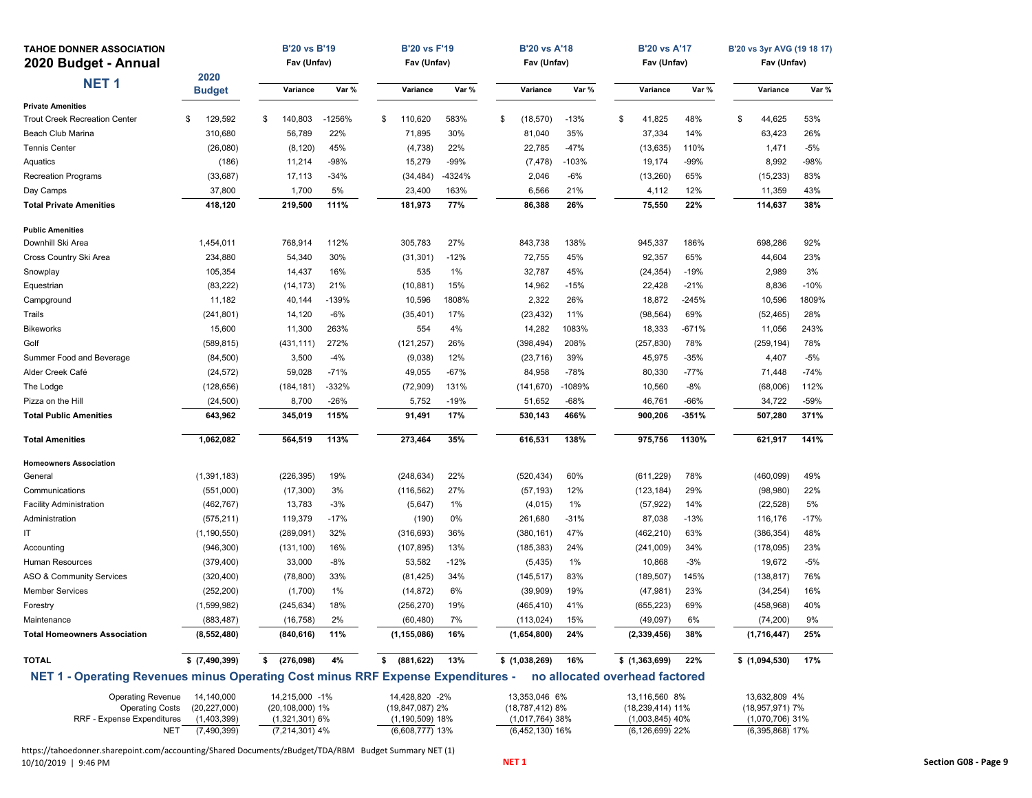| <b>TAHOE DONNER ASSOCIATION</b>                                                  |                            | <b>B'20 vs B'19</b>                  |          | <b>B'20 vs F'19</b>                      |        | <b>B'20 vs A'18</b>                    |                                | <b>B'20 vs A'17</b>                      |         | B'20 vs 3yr AVG (19 18 17)             |        |
|----------------------------------------------------------------------------------|----------------------------|--------------------------------------|----------|------------------------------------------|--------|----------------------------------------|--------------------------------|------------------------------------------|---------|----------------------------------------|--------|
| 2020 Budget - Annual                                                             |                            | Fav (Unfav)                          |          | Fav (Unfav)                              |        | Fav (Unfav)                            |                                | Fav (Unfav)                              |         | Fav (Unfav)                            |        |
| <b>NET1</b>                                                                      | 2020<br><b>Budget</b>      | Variance                             | Var %    | Variance                                 | Var %  | Variance                               | Var %                          | Variance                                 | Var %   | Variance                               | Var %  |
| <b>Private Amenities</b>                                                         |                            |                                      |          |                                          |        |                                        |                                |                                          |         |                                        |        |
| <b>Trout Creek Recreation Center</b>                                             | 129,592<br>\$              | 140,803<br>\$                        | $-1256%$ | \$<br>110,620                            | 583%   | \$<br>(18, 570)                        | $-13%$                         | \$<br>41,825                             | 48%     | \$<br>44,625                           | 53%    |
| <b>Beach Club Marina</b>                                                         | 310,680                    | 56,789                               | 22%      | 71,895                                   | 30%    | 81,040                                 | 35%                            | 37,334                                   | 14%     | 63,423                                 | 26%    |
| <b>Tennis Center</b>                                                             | (26,080)                   | (8, 120)                             | 45%      | (4, 738)                                 | 22%    | 22,785                                 | $-47%$                         | (13, 635)                                | 110%    | 1,471                                  | -5%    |
| Aquatics                                                                         | (186)                      | 11,214                               | -98%     | 15,279                                   | $-99%$ | (7, 478)                               | $-103%$                        | 19,174                                   | -99%    | 8,992                                  | -98%   |
| <b>Recreation Programs</b>                                                       | (33, 687)                  | 17,113                               | $-34%$   | (34, 484)                                | -4324% | 2,046                                  | $-6%$                          | (13, 260)                                | 65%     | (15, 233)                              | 83%    |
| Day Camps                                                                        | 37,800                     | 1,700                                | 5%       | 23,400                                   | 163%   | 6,566                                  | 21%                            | 4,112                                    | 12%     | 11,359                                 | 43%    |
| <b>Total Private Amenities</b>                                                   | 418,120                    | 219,500                              | 111%     | 181,973                                  | 77%    | 86,388                                 | 26%                            | 75,550                                   | 22%     | 114,637                                | 38%    |
| <b>Public Amenities</b>                                                          |                            |                                      |          |                                          |        |                                        |                                |                                          |         |                                        |        |
| Downhill Ski Area                                                                | 1,454,011                  | 768,914                              | 112%     | 305,783                                  | 27%    | 843,738                                | 138%                           | 945,337                                  | 186%    | 698,286                                | 92%    |
| Cross Country Ski Area                                                           | 234,880                    | 54,340                               | 30%      | (31, 301)                                | $-12%$ | 72,755                                 | 45%                            | 92,357                                   | 65%     | 44,604                                 | 23%    |
| Snowplay                                                                         | 105,354                    | 14,437                               | 16%      | 535                                      | 1%     | 32,787                                 | 45%                            | (24, 354)                                | $-19%$  | 2,989                                  | 3%     |
| Equestrian                                                                       | (83, 222)                  | (14, 173)                            | 21%      | (10, 881)                                | 15%    | 14,962                                 | $-15%$                         | 22,428                                   | $-21%$  | 8,836                                  | $-10%$ |
| Campground                                                                       | 11,182                     | 40,144                               | $-139%$  | 10,596                                   | 1808%  | 2,322                                  | 26%                            | 18,872                                   | $-245%$ | 10,596                                 | 1809%  |
| Trails                                                                           | (241, 801)                 | 14,120                               | $-6%$    | (35, 401)                                | 17%    | (23, 432)                              | 11%                            | (98, 564)                                | 69%     | (52, 465)                              | 28%    |
| <b>Bikeworks</b>                                                                 | 15,600                     | 11,300                               | 263%     | 554                                      | 4%     | 14,282                                 | 1083%                          | 18,333                                   | $-671%$ | 11,056                                 | 243%   |
| Golf                                                                             | (589, 815)                 | (431, 111)                           | 272%     | (121, 257)                               | 26%    | (398, 494)                             | 208%                           | (257, 830)                               | 78%     | (259, 194)                             | 78%    |
| Summer Food and Beverage                                                         | (84,500)                   | 3,500                                | $-4%$    | (9,038)                                  | 12%    | (23, 716)                              | 39%                            | 45,975                                   | -35%    | 4,407                                  | $-5%$  |
| Alder Creek Café                                                                 | (24, 572)                  | 59,028                               | $-71%$   | 49,055                                   | $-67%$ | 84,958                                 | $-78%$                         | 80,330                                   | -77%    | 71,448                                 | $-74%$ |
| The Lodge                                                                        | (128, 656)                 | (184, 181)                           | $-332%$  | (72,909)                                 | 131%   | (141, 670)                             | -1089%                         | 10,560                                   | $-8%$   | (68,006)                               | 112%   |
| Pizza on the Hill                                                                | (24, 500)                  | 8,700                                | $-26%$   | 5,752                                    | $-19%$ | 51,652                                 | $-68%$                         | 46,761                                   | -66%    | 34,722                                 | -59%   |
| <b>Total Public Amenities</b>                                                    | 643,962                    | 345,019                              | 115%     | 91,491                                   | 17%    | 530,143                                | 466%                           | 900,206                                  | $-351%$ | 507,280                                | 371%   |
| Total Amenities                                                                  | 1,062,082                  | 564,519                              | 113%     | 273,464                                  | 35%    | 616,531                                | 138%                           | 975,756                                  | 1130%   | 621,917                                | 141%   |
| <b>Homeowners Association</b>                                                    |                            |                                      |          |                                          |        |                                        |                                |                                          |         |                                        |        |
| General                                                                          | (1, 391, 183)              | (226, 395)                           | 19%      | (248, 634)                               | 22%    | (520, 434)                             | 60%                            | (611, 229)                               | 78%     | (460, 099)                             | 49%    |
| Communications                                                                   | (551,000)                  | (17, 300)                            | 3%       | (116, 562)                               | 27%    | (57, 193)                              | 12%                            | (123, 184)                               | 29%     | (98, 980)                              | 22%    |
| <b>Facility Administration</b>                                                   | (462, 767)                 | 13,783                               | $-3%$    | (5,647)                                  | 1%     | (4,015)                                | 1%                             | (57, 922)                                | 14%     | (22, 528)                              | 5%     |
| Administration                                                                   | (575, 211)                 | 119,379                              | $-17%$   | (190)                                    | 0%     | 261,680                                | $-31%$                         | 87,038                                   | -13%    | 116,176                                | $-17%$ |
| ΙT                                                                               | (1, 190, 550)              | (289, 091)                           | 32%      | (316, 693)                               | 36%    | (380, 161)                             | 47%                            | (462, 210)                               | 63%     | (386, 354)                             | 48%    |
| Accounting                                                                       | (946, 300)                 | (131, 100)                           | 16%      | (107, 895)                               | 13%    | (185, 383)                             | 24%                            | (241,009)                                | 34%     | (178,095)                              | 23%    |
| Human Resources                                                                  | (379, 400)                 | 33,000                               | -8%      | 53,582                                   | $-12%$ | (5, 435)                               | 1%                             | 10,868                                   | $-3%$   | 19,672                                 | -5%    |
| <b>ASO &amp; Community Services</b>                                              | (320, 400)                 | (78, 800)                            | 33%      | (81, 425)                                | 34%    | (145, 517)                             | 83%                            | (189, 507)                               | 145%    | (138, 817)                             | 76%    |
| <b>Member Services</b>                                                           | (252, 200)                 | (1,700)                              | 1%       | (14, 872)                                | 6%     | (39,909)                               | 19%                            | (47, 981)                                | 23%     | (34, 254)                              | 16%    |
| Forestry                                                                         | (1,599,982)                | (245, 634)                           | 18%      | (256, 270)                               | 19%    | (465, 410)                             | 41%                            | (655, 223)                               | 69%     | (458, 968)                             | 40%    |
| Maintenance                                                                      | (883, 487)                 | (16, 758)                            | 2%       | (60, 480)                                | 7%     | (113, 024)                             | 15%                            | (49, 097)                                | 6%      | (74, 200)                              | 9%     |
| <b>Total Homeowners Association</b>                                              | (8,552,480)                | $(840, 616)$ 11%                     |          | (1, 155, 086)                            | 16%    | (1,654,800)                            | 24%                            | (2,339,456)                              | 38%     | (1,716,447)                            | 25%    |
| <b>TOTAL</b>                                                                     | $$$ $(7,490,399)$          | \$ (276,098)                         | 4%       | \$ (881, 622)                            | 13%    | \$(1,038,269)                          | 16%                            | \$(1,363,699)                            | 22%     | \$(1,094,530)                          | 17%    |
| NET 1 - Operating Revenues minus Operating Cost minus RRF Expense Expenditures - |                            |                                      |          |                                          |        |                                        | no allocated overhead factored |                                          |         |                                        |        |
| <b>Operating Revenue</b>                                                         | 14,140,000                 | 14,215,000 -1%                       |          | 14,428,820 -2%                           |        | 13,353,046 6%                          |                                | 13,116,560 8%                            |         | 13,632,809 4%                          |        |
| <b>Operating Costs</b><br>RRF - Expense Expenditures                             | (20, 227, 000)             | (20,108,000) 1%                      |          | (19,847,087) 2%                          |        | (18,787,412) 8%                        |                                | (18,239,414) 11%                         |         | (18,957,971) 7%                        |        |
| <b>NET</b>                                                                       | (1,403,399)<br>(7,490,399) | $(1,321,301)$ 6%<br>$(7,214,301)$ 4% |          | $(1, 190, 509)$ 18%<br>$(6,608,777)$ 13% |        | $(1,017,764)$ 38%<br>$(6,452,130)$ 16% |                                | $(1,003,845)$ 40%<br>$(6, 126, 699)$ 22% |         | $(1,070,706)$ 31%<br>$(6,395,868)$ 17% |        |

https://tahoedonner.sharepoint.com/accounting/Shared Documents/zBudget/TDA/RBM Budget Summary NET (1)<br>10/10/2019 | 9:46 PM 10/10/2019 | 9:46 PM **NET <sup>1</sup> Section G08 ‐ Page 9**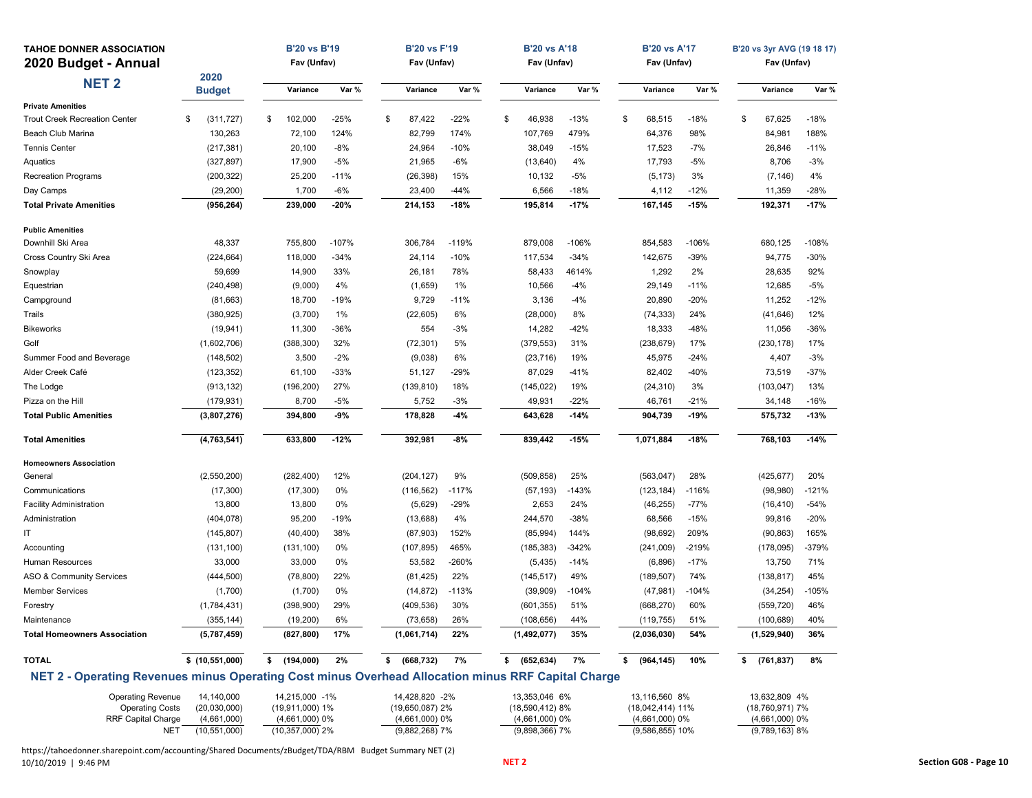| <b>TAHOE DONNER ASSOCIATION</b><br>2020 Budget - Annual                                            |                               | <b>B'20 vs B'19</b><br>Fav (Unfav)  |         | <b>B'20 vs F'19</b><br>Fav (Unfav)  |         | <b>B'20 vs A'18</b><br>Fav (Unfav)   |         | <b>B'20 vs A'17</b><br>Fav (Unfav)  |         | B'20 vs 3yr AVG (19 18 17)<br>Fav (Unfav) |         |
|----------------------------------------------------------------------------------------------------|-------------------------------|-------------------------------------|---------|-------------------------------------|---------|--------------------------------------|---------|-------------------------------------|---------|-------------------------------------------|---------|
| <b>NET 2</b>                                                                                       | 2020<br><b>Budget</b>         | Variance                            | Var %   | Variance                            | Var %   | Variance                             | Var %   | Variance                            | Var %   | Variance                                  | Var %   |
| <b>Private Amenities</b>                                                                           |                               |                                     |         |                                     |         |                                      |         |                                     |         |                                           |         |
| <b>Trout Creek Recreation Center</b>                                                               | (311, 727)<br>\$              | \$<br>102,000                       | $-25%$  | \$<br>87,422                        | $-22%$  | \$<br>46,938                         | $-13%$  | \$<br>68,515                        | $-18%$  | \$<br>67,625                              | $-18%$  |
| Beach Club Marina                                                                                  | 130,263                       | 72,100                              | 124%    | 82,799                              | 174%    | 107,769                              | 479%    | 64,376                              | 98%     | 84,981                                    | 188%    |
| Tennis Center                                                                                      | (217, 381)                    | 20,100                              | $-8%$   | 24,964                              | $-10%$  | 38,049                               | $-15%$  | 17,523                              | -7%     | 26,846                                    | $-11%$  |
| Aquatics                                                                                           | (327, 897)                    | 17,900                              | $-5%$   | 21,965                              | $-6%$   | (13, 640)                            | 4%      | 17,793                              | $-5%$   | 8,706                                     | $-3%$   |
| <b>Recreation Programs</b>                                                                         | (200, 322)                    | 25,200                              | $-11%$  | (26, 398)                           | 15%     | 10,132                               | -5%     | (5, 173)                            | 3%      | (7, 146)                                  | 4%      |
| Day Camps                                                                                          | (29, 200)                     | 1,700                               | $-6%$   | 23,400                              | $-44%$  | 6,566                                | $-18%$  | 4,112                               | $-12%$  | 11,359                                    | -28%    |
| <b>Total Private Amenities</b>                                                                     | (956, 264)                    | 239,000                             | -20%    | 214,153                             | $-18%$  | 195,814                              | $-17%$  | 167,145                             | $-15%$  | 192,371                                   | $-17%$  |
| <b>Public Amenities</b>                                                                            |                               |                                     |         |                                     |         |                                      |         |                                     |         |                                           |         |
| Downhill Ski Area                                                                                  | 48,337                        | 755,800                             | $-107%$ | 306,784                             | $-119%$ | 879,008                              | $-106%$ | 854,583                             | $-106%$ | 680,125                                   | $-108%$ |
| Cross Country Ski Area                                                                             | (224, 664)                    | 118,000                             | $-34%$  | 24,114                              | $-10%$  | 117,534                              | $-34%$  | 142,675                             | $-39%$  | 94,775                                    | -30%    |
| Snowplay                                                                                           | 59,699                        | 14,900                              | 33%     | 26,181                              | 78%     | 58,433                               | 4614%   | 1,292                               | 2%      | 28,635                                    | 92%     |
| Equestrian                                                                                         | (240, 498)                    | (9,000)                             | 4%      | (1,659)                             | 1%      | 10,566                               | $-4%$   | 29,149                              | $-11%$  | 12,685                                    | $-5%$   |
| Campground                                                                                         | (81,663)                      | 18,700                              | -19%    | 9,729                               | $-11%$  | 3,136                                | $-4%$   | 20,890                              | $-20%$  | 11,252                                    | $-12%$  |
| Trails                                                                                             | (380, 925)                    | (3,700)                             | 1%      | (22, 605)                           | 6%      | (28,000)                             | 8%      | (74, 333)                           | 24%     | (41, 646)                                 | 12%     |
| <b>Bikeworks</b>                                                                                   | (19, 941)                     | 11,300                              | -36%    | 554                                 | $-3%$   | 14,282                               | $-42%$  | 18,333                              | $-48%$  | 11,056                                    | $-36%$  |
| Golf                                                                                               | (1,602,706)                   | (388, 300)                          | 32%     | (72, 301)                           | 5%      | (379, 553)                           | 31%     | (238, 679)                          | 17%     | (230, 178)                                | 17%     |
| Summer Food and Beverage                                                                           | (148, 502)                    | 3,500                               | $-2%$   | (9,038)                             | 6%      | (23, 716)                            | 19%     | 45,975                              | $-24%$  | 4,407                                     | $-3%$   |
| Alder Creek Café                                                                                   | (123, 352)                    | 61,100                              | -33%    | 51,127                              | $-29%$  | 87,029                               | $-41%$  | 82,402                              | $-40%$  | 73,519                                    | $-37%$  |
| The Lodge                                                                                          | (913, 132)                    | (196, 200)                          | 27%     | (139, 810)                          | 18%     | (145, 022)                           | 19%     | (24, 310)                           | 3%      | (103, 047)                                | 13%     |
| Pizza on the Hill                                                                                  | (179, 931)                    | 8,700                               | -5%     | 5,752                               | $-3%$   | 49,931                               | $-22%$  | 46,761                              | $-21%$  | 34,148                                    | -16%    |
| <b>Total Public Amenities</b>                                                                      | (3,807,276)                   | 394,800                             | $-9%$   | 178,828                             | $-4%$   | 643,628                              | $-14%$  | 904,739                             | $-19%$  | 575,732                                   | $-13%$  |
| <b>Total Amenities</b>                                                                             | (4,763,541)                   | 633,800                             | $-12%$  | 392,981                             | $-8%$   | 839,442                              | $-15%$  | 1,071,884                           | $-18%$  | 768,103                                   | $-14%$  |
| <b>Homeowners Association</b>                                                                      |                               |                                     |         |                                     |         |                                      |         |                                     |         |                                           |         |
| General                                                                                            | (2,550,200)                   | (282, 400)                          | 12%     | (204, 127)                          | 9%      | (509, 858)                           | 25%     | (563, 047)                          | 28%     | (425, 677)                                | 20%     |
| Communications                                                                                     | (17, 300)                     | (17, 300)                           | 0%      | (116, 562)                          | $-117%$ | (57, 193)                            | $-143%$ | (123, 184)                          | $-116%$ | (98,980)                                  | $-121%$ |
| <b>Facility Administration</b>                                                                     | 13,800                        | 13,800                              | 0%      | (5,629)                             | $-29%$  | 2,653                                | 24%     | (46, 255)                           | $-77%$  | (16, 410)                                 | $-54%$  |
| Administration                                                                                     | (404, 078)                    | 95,200                              | -19%    | (13,688)                            | 4%      | 244,570                              | -38%    | 68,566                              | $-15%$  | 99,816                                    | $-20%$  |
| ΙT                                                                                                 | (145, 807)                    | (40, 400)                           | 38%     | (87,903)                            | 152%    | (85,994)                             | 144%    | (98, 692)                           | 209%    | (90, 863)                                 | 165%    |
| Accounting                                                                                         | (131, 100)                    | (131, 100)                          | 0%      | (107, 895)                          | 465%    | (185, 383)                           | $-342%$ | (241,009)                           | $-219%$ | (178, 095)                                | -379%   |
| Human Resources                                                                                    | 33,000                        | 33,000                              | 0%      | 53,582                              | $-260%$ | (5, 435)                             | $-14%$  | (6,896)                             | $-17%$  | 13,750                                    | 71%     |
| <b>ASO &amp; Community Services</b>                                                                | (444, 500)                    | (78, 800)                           | 22%     | (81, 425)                           | 22%     | (145, 517)                           | 49%     | (189, 507)                          | 74%     | (138, 817)                                | 45%     |
| <b>Member Services</b>                                                                             | (1,700)                       | (1,700)                             | 0%      | (14, 872)                           | $-113%$ | (39,909)                             | $-104%$ | (47, 981)                           | $-104%$ | (34, 254)                                 | -105%   |
| Forestry                                                                                           | (1,784,431)                   | (398,900)                           | 29%     | (409, 536)                          | 30%     | (601, 355)                           | 51%     | (668, 270)                          | 60%     | (559, 720)                                | 46%     |
| Maintenance                                                                                        | (355, 144)                    | (19, 200)                           | 6%      | (73, 658)                           | 26%     | (108, 656)                           | 44%     | (119, 755)                          | 51%     | (100, 689)                                | 40%     |
| <b>Total Homeowners Association</b>                                                                | (5,787,459)                   | (827,800)                           | 17%     | (1,061,714)                         | 22%     | (1,492,077)                          | 35%     | (2,036,030)                         | 54%     | (1,529,940)                               | 36%     |
| <b>TOTAL</b>                                                                                       | \$(10,551,000)                | \$(194,000)                         | 2%      | \$<br>(668,732)                     | 7%      | \$ (652, 634)                        | 7%      | \$<br>(964, 145)                    | 10%     | \$ (761, 837)                             | 8%      |
| NET 2 - Operating Revenues minus Operating Cost minus Overhead Allocation minus RRF Capital Charge |                               |                                     |         |                                     |         |                                      |         |                                     |         |                                           |         |
| <b>Operating Revenue</b>                                                                           | 14,140,000                    | 14,215,000 -1%                      |         | 14,428,820 -2%                      |         | 13,353,046 6%                        |         | 13,116,560 8%                       |         | 13,632,809 4%                             |         |
| <b>Operating Costs</b><br>RRF Capital Charge                                                       | (20,030,000)                  | (19,911,000) 1%                     |         | (19,650,087) 2%<br>$(4,661,000)$ 0% |         | (18,590,412) 8%                      |         | (18,042,414) 11%                    |         | (18,760,971) 7%                           |         |
| NET                                                                                                | (4,661,000)<br>(10, 551, 000) | $(4,661,000)$ 0%<br>(10,357,000) 2% |         | (9,882,268) 7%                      |         | $(4,661,000)$ 0%<br>$(9,898,366)$ 7% |         | $(4,661,000)$ 0%<br>(9,586,855) 10% |         | $(4,661,000)$ 0%<br>$(9,789,163)$ 8%      |         |

https://tahoedonner.sharepoint.com/accounting/Shared Documents/zBudget/TDA/RBM Budget Summary NET (2) 10/10/2019 | 9:46 PM **NET <sup>2</sup> Section G08 ‐ Page 10**